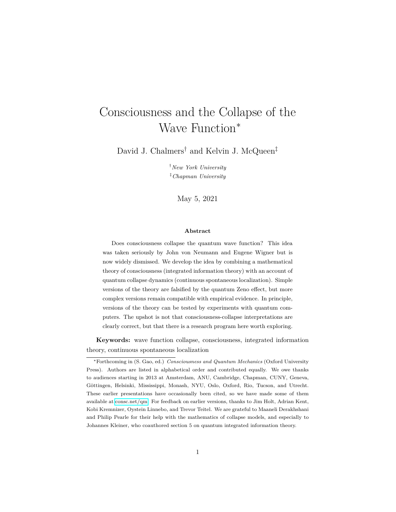# <span id="page-0-0"></span>Consciousness and the Collapse of the Wave Function<sup>∗</sup>

David J. Chalmers<sup>†</sup> and Kelvin J. McQueen<sup>‡</sup>

†*New York University* ‡*Chapman University*

May 5, 2021

#### **Abstract**

Does consciousness collapse the quantum wave function? This idea was taken seriously by John von Neumann and Eugene Wigner but is now widely dismissed. We develop the idea by combining a mathematical theory of consciousness (integrated information theory) with an account of quantum collapse dynamics (continuous spontaneous localization). Simple versions of the theory are falsified by the quantum Zeno effect, but more complex versions remain compatible with empirical evidence. In principle, versions of the theory can be tested by experiments with quantum computers. The upshot is not that consciousness-collapse interpretations are clearly correct, but that there is a research program here worth exploring.

**Keywords:** wave function collapse, consciousness, integrated information theory, continuous spontaneous localization

<sup>∗</sup>Forthcoming in (S. Gao, ed.) *Consciousness and Quantum Mechanics* (Oxford University Press). Authors are listed in alphabetical order and contributed equally. We owe thanks to audiences starting in 2013 at Amsterdam, ANU, Cambridge, Chapman, CUNY, Geneva, Göttingen, Helsinki, Mississippi, Monash, NYU, Oslo, Oxford, Rio, Tucson, and Utrecht. These earlier presentations have occasionally been cited, so we have made some of them available at [consc.net/qm.](http://consc.net/qm) For feedback on earlier versions, thanks to Jim Holt, Adrian Kent, Kobi Kremnizer, Oystein Linnebo, and Trevor Teitel. We are grateful to Maaneli Derakhshani and Philip Pearle for their help with the mathematics of collapse models, and especially to Johannes Kleiner, who coauthored section 5 on quantum integrated information theory.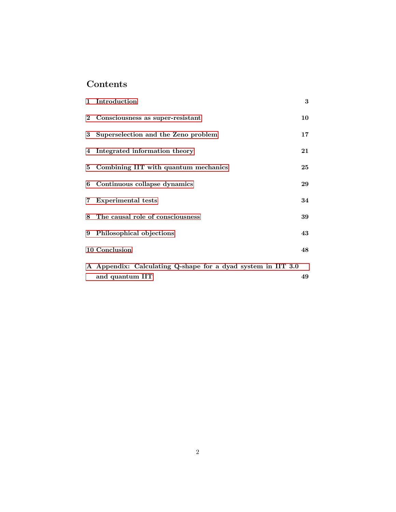## **Contents**

| 1 Introduction                                                                  | 3      |
|---------------------------------------------------------------------------------|--------|
| 2 Consciousness as super-resistant                                              | 10     |
| 3 Superselection and the Zeno problem                                           | 17     |
| 4 Integrated information theory                                                 | $21\,$ |
| 5 Combining IIT with quantum mechanics                                          | 25     |
| 6 Continuous collapse dynamics                                                  | 29     |
| 7 Experimental tests                                                            | 34     |
| 8 The causal role of consciousness                                              | 39     |
| 9 Philosophical objections                                                      | 43     |
| 10 Conclusion                                                                   | 48     |
| A Appendix: Calculating Q-shape for a dyad system in IIT 3.0<br>and quantum IIT | 49     |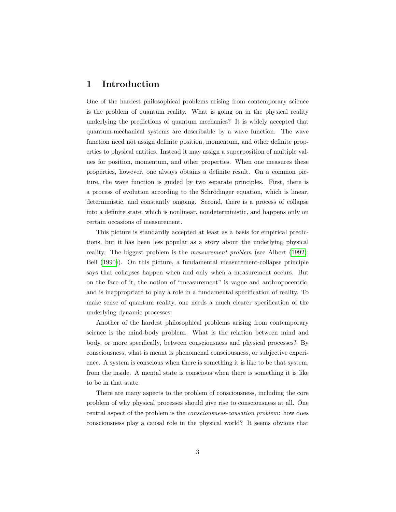## <span id="page-2-0"></span>**1 Introduction**

One of the hardest philosophical problems arising from contemporary science is the problem of quantum reality. What is going on in the physical reality underlying the predictions of quantum mechanics? It is widely accepted that quantum-mechanical systems are describable by a wave function. The wave function need not assign definite position, momentum, and other definite properties to physical entities. Instead it may assign a superposition of multiple values for position, momentum, and other properties. When one measures these properties, however, one always obtains a definite result. On a common picture, the wave function is guided by two separate principles. First, there is a process of evolution according to the Schrödinger equation, which is linear, deterministic, and constantly ongoing. Second, there is a process of collapse into a definite state, which is nonlinear, nondeterministic, and happens only on certain occasions of measurement.

This picture is standardly accepted at least as a basis for empirical predictions, but it has been less popular as a story about the underlying physical reality. The biggest problem is the *measurement problem* (see Albert [\(1992\)](#page-54-0); Bell [\(1990\)](#page-55-0)). On this picture, a fundamental measurement-collapse principle says that collapses happen when and only when a measurement occurs. But on the face of it, the notion of "measurement" is vague and anthropocentric, and is inappropriate to play a role in a fundamental specification of reality. To make sense of quantum reality, one needs a much clearer specification of the underlying dynamic processes.

Another of the hardest philosophical problems arising from contemporary science is the mind-body problem. What is the relation between mind and body, or more specifically, between consciousness and physical processes? By consciousness, what is meant is phenomenal consciousness, or subjective experience. A system is conscious when there is something it is like to be that system, from the inside. A mental state is conscious when there is something it is like to be in that state.

There are many aspects to the problem of consciousness, including the core problem of why physical processes should give rise to consciousness at all. One central aspect of the problem is the *consciousness-causation problem*: how does consciousness play a causal role in the physical world? It seems obvious that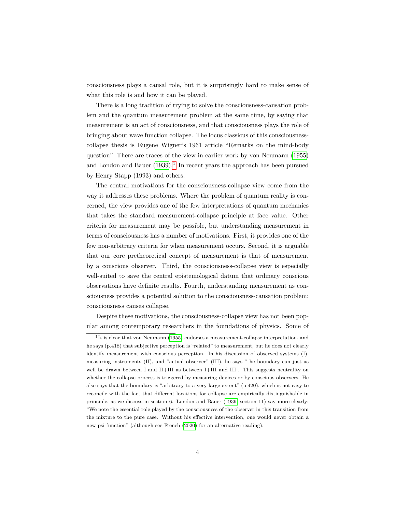consciousness plays a causal role, but it is surprisingly hard to make sense of what this role is and how it can be played.

There is a long tradition of trying to solve the consciousness-causation problem and the quantum measurement problem at the same time, by saying that measurement is an act of consciousness, and that consciousness plays the role of bringing about wave function collapse. The locus classicus of this consciousnesscollapse thesis is Eugene Wigner's 1961 article "Remarks on the mind-body question". There are traces of the view in earlier work by von Neumann [\(1955\)](#page-58-0) and London and Bauer  $(1939).<sup>1</sup>$  $(1939).<sup>1</sup>$  $(1939).<sup>1</sup>$  $(1939).<sup>1</sup>$  In recent years the approach has been pursued by Henry Stapp (1993) and others.

The central motivations for the consciousness-collapse view come from the way it addresses these problems. Where the problem of quantum reality is concerned, the view provides one of the few interpretations of quantum mechanics that takes the standard measurement-collapse principle at face value. Other criteria for measurement may be possible, but understanding measurement in terms of consciousness has a number of motivations. First, it provides one of the few non-arbitrary criteria for when measurement occurs. Second, it is arguable that our core pretheoretical concept of measurement is that of measurement by a conscious observer. Third, the consciousness-collapse view is especially well-suited to save the central epistemological datum that ordinary conscious observations have definite results. Fourth, understanding measurement as consciousness provides a potential solution to the consciousness-causation problem: consciousness causes collapse.

Despite these motivations, the consciousness-collapse view has not been popular among contemporary researchers in the foundations of physics. Some of

<sup>&</sup>lt;sup>1</sup>It is clear that von Neumann [\(1955\)](#page-58-0) endorses a measurement-collapse interpretation, and he says (p.418) that subjective perception is "related" to measurement, but he does not clearly identify measurement with conscious perception. In his discussion of observed systems (I), measuring instruments (II), and "actual observer" (III), he says "the boundary can just as well be drawn between I and II+III as between I+III and III". This suggests neutrality on whether the collapse process is triggered by measuring devices or by conscious observers. He also says that the boundary is "arbitrary to a very large extent" (p.420), which is not easy to reconcile with the fact that different locations for collapse are empirically distinguishable in principle, as we discuss in section 6. London and Bauer [\(1939,](#page-56-0) section 11) say more clearly: "We note the essential role played by the consciousness of the observer in this transition from the mixture to the pure case. Without his effective intervention, one would never obtain a new psi function" (although see French [\(2020\)](#page-55-1) for an alternative reading).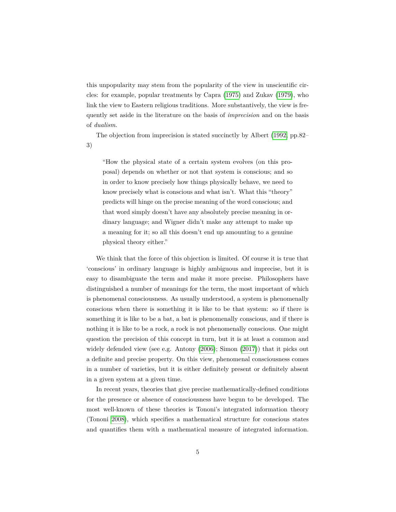this unpopularity may stem from the popularity of the view in unscientific circles: for example, popular treatments by Capra [\(1975\)](#page-55-2) and Zukav [\(1979\)](#page-58-1), who link the view to Eastern religious traditions. More substantively, the view is frequently set aside in the literature on the basis of *imprecision* and on the basis of *dualism*.

The objection from imprecision is stated succinctly by Albert [\(1992,](#page-54-0) pp.82– 3)

"How the physical state of a certain system evolves (on this proposal) depends on whether or not that system is conscious; and so in order to know precisely how things physically behave, we need to know precisely what is conscious and what isn't. What this "theory" predicts will hinge on the precise meaning of the word conscious; and that word simply doesn't have any absolutely precise meaning in ordinary language; and Wigner didn't make any attempt to make up a meaning for it; so all this doesn't end up amounting to a genuine physical theory either."

We think that the force of this objection is limited. Of course it is true that 'conscious' in ordinary language is highly ambiguous and imprecise, but it is easy to disambiguate the term and make it more precise. Philosophers have distinguished a number of meanings for the term, the most important of which is phenomenal consciousness. As usually understood, a system is phenomenally conscious when there is something it is like to be that system: so if there is something it is like to be a bat, a bat is phenomenally conscious, and if there is nothing it is like to be a rock, a rock is not phenomenally conscious. One might question the precision of this concept in turn, but it is at least a common and widely defended view (see e.g. Antony [\(2006\)](#page-54-1); Simon [\(2017\)](#page-58-2)) that it picks out a definite and precise property. On this view, phenomenal consciousness comes in a number of varieties, but it is either definitely present or definitely absent in a given system at a given time.

In recent years, theories that give precise mathematically-defined conditions for the presence or absence of consciousness have begun to be developed. The most well-known of these theories is Tononi's integrated information theory (Tononi [2008\)](#page-58-3), which specifies a mathematical structure for conscious states and quantifies them with a mathematical measure of integrated information.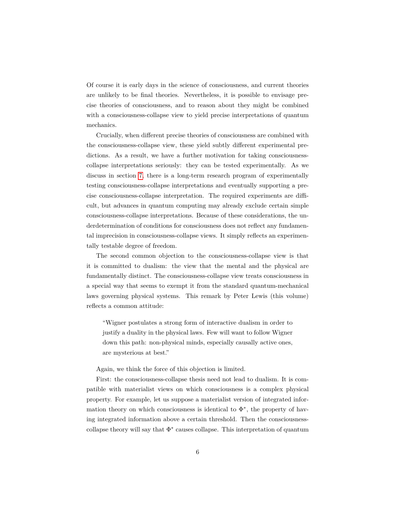Of course it is early days in the science of consciousness, and current theories are unlikely to be final theories. Nevertheless, it is possible to envisage precise theories of consciousness, and to reason about they might be combined with a consciousness-collapse view to yield precise interpretations of quantum mechanics.

Crucially, when different precise theories of consciousness are combined with the consciousness-collapse view, these yield subtly different experimental predictions. As a result, we have a further motivation for taking consciousnesscollapse interpretations seriously: they can be tested experimentally. As we discuss in section [7,](#page-33-0) there is a long-term research program of experimentally testing consciousness-collapse interpretations and eventually supporting a precise consciousness-collapse interpretation. The required experiments are difficult, but advances in quantum computing may already exclude certain simple consciousness-collapse interpretations. Because of these considerations, the underdetermination of conditions for consciousness does not reflect any fundamental imprecision in consciousness-collapse views. It simply reflects an experimentally testable degree of freedom.

The second common objection to the consciousness-collapse view is that it is committed to dualism: the view that the mental and the physical are fundamentally distinct. The consciousness-collapse view treats consciousness in a special way that seems to exempt it from the standard quantum-mechanical laws governing physical systems. This remark by Peter Lewis (this volume) reflects a common attitude:

"Wigner postulates a strong form of interactive dualism in order to justify a duality in the physical laws. Few will want to follow Wigner down this path: non-physical minds, especially causally active ones, are mysterious at best."

Again, we think the force of this objection is limited.

First: the consciousness-collapse thesis need not lead to dualism. It is compatible with materialist views on which consciousness is a complex physical property. For example, let us suppose a materialist version of integrated information theory on which consciousness is identical to  $\Phi^*$ , the property of having integrated information above a certain threshold. Then the consciousnesscollapse theory will say that  $\Phi^*$  causes collapse. This interpretation of quantum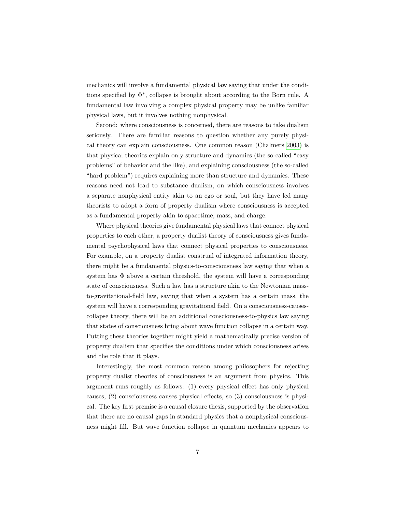mechanics will involve a fundamental physical law saying that under the conditions specified by Φ<sup>∗</sup> , collapse is brought about according to the Born rule. A fundamental law involving a complex physical property may be unlike familiar physical laws, but it involves nothing nonphysical.

Second: where consciousness is concerned, there are reasons to take dualism seriously. There are familiar reasons to question whether any purely physical theory can explain consciousness. One common reason (Chalmers [2003\)](#page-55-3) is that physical theories explain only structure and dynamics (the so-called "easy problems" of behavior and the like), and explaining consciousness (the so-called "hard problem") requires explaining more than structure and dynamics. These reasons need not lead to substance dualism, on which consciousness involves a separate nonphysical entity akin to an ego or soul, but they have led many theorists to adopt a form of property dualism where consciousness is accepted as a fundamental property akin to spacetime, mass, and charge.

Where physical theories give fundamental physical laws that connect physical properties to each other, a property dualist theory of consciousness gives fundamental psychophysical laws that connect physical properties to consciousness. For example, on a property dualist construal of integrated information theory, there might be a fundamental physics-to-consciousness law saying that when a system has  $\Phi$  above a certain threshold, the system will have a corresponding state of consciousness. Such a law has a structure akin to the Newtonian massto-gravitational-field law, saying that when a system has a certain mass, the system will have a corresponding gravitational field. On a consciousness-causescollapse theory, there will be an additional consciousness-to-physics law saying that states of consciousness bring about wave function collapse in a certain way. Putting these theories together might yield a mathematically precise version of property dualism that specifies the conditions under which consciousness arises and the role that it plays.

Interestingly, the most common reason among philosophers for rejecting property dualist theories of consciousness is an argument from physics. This argument runs roughly as follows: (1) every physical effect has only physical causes, (2) consciousness causes physical effects, so (3) consciousness is physical. The key first premise is a causal closure thesis, supported by the observation that there are no causal gaps in standard physics that a nonphysical consciousness might fill. But wave function collapse in quantum mechanics appears to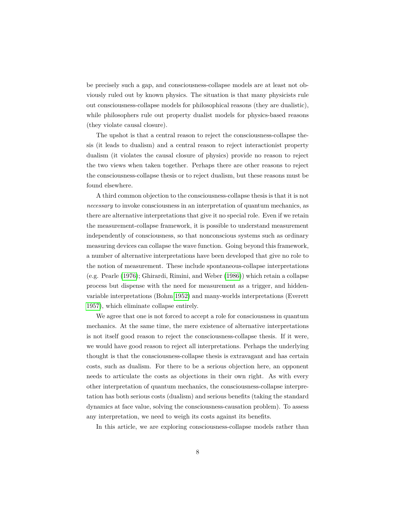be precisely such a gap, and consciousness-collapse models are at least not obviously ruled out by known physics. The situation is that many physicists rule out consciousness-collapse models for philosophical reasons (they are dualistic), while philosophers rule out property dualist models for physics-based reasons (they violate causal closure).

The upshot is that a central reason to reject the consciousness-collapse thesis (it leads to dualism) and a central reason to reject interactionist property dualism (it violates the causal closure of physics) provide no reason to reject the two views when taken together. Perhaps there are other reasons to reject the consciousness-collapse thesis or to reject dualism, but these reasons must be found elsewhere.

A third common objection to the consciousness-collapse thesis is that it is not *necessary* to invoke consciousness in an interpretation of quantum mechanics, as there are alternative interpretations that give it no special role. Even if we retain the measurement-collapse framework, it is possible to understand measurement independently of consciousness, so that nonconscious systems such as ordinary measuring devices can collapse the wave function. Going beyond this framework, a number of alternative interpretations have been developed that give no role to the notion of measurement. These include spontaneous-collapse interpretations (e.g. Pearle [\(1976\)](#page-57-0); Ghirardi, Rimini, and Weber [\(1986\)](#page-56-1)) which retain a collapse process but dispense with the need for measurement as a trigger, and hiddenvariable interpretations (Bohm [1952\)](#page-55-4) and many-worlds interpretations (Everett [1957\)](#page-55-5), which eliminate collapse entirely.

We agree that one is not forced to accept a role for consciousness in quantum mechanics. At the same time, the mere existence of alternative interpretations is not itself good reason to reject the consciousness-collapse thesis. If it were, we would have good reason to reject all interpretations. Perhaps the underlying thought is that the consciousness-collapse thesis is extravagant and has certain costs, such as dualism. For there to be a serious objection here, an opponent needs to articulate the costs as objections in their own right. As with every other interpretation of quantum mechanics, the consciousness-collapse interpretation has both serious costs (dualism) and serious benefits (taking the standard dynamics at face value, solving the consciousness-causation problem). To assess any interpretation, we need to weigh its costs against its benefits.

In this article, we are exploring consciousness-collapse models rather than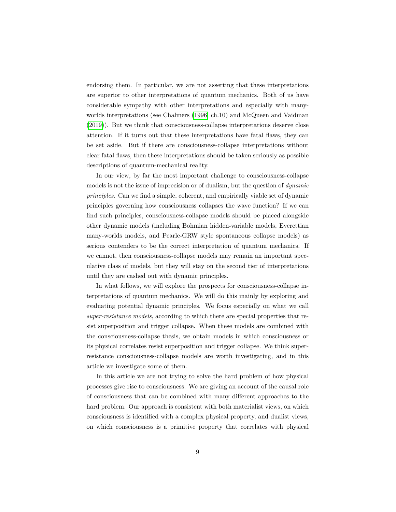endorsing them. In particular, we are not asserting that these interpretations are superior to other interpretations of quantum mechanics. Both of us have considerable sympathy with other interpretations and especially with manyworlds interpretations (see Chalmers [\(1996,](#page-55-6) ch.10) and McQueen and Vaidman [\(2019\)](#page-57-1)). But we think that consciousness-collapse interpretations deserve close attention. If it turns out that these interpretations have fatal flaws, they can be set aside. But if there are consciousness-collapse interpretations without clear fatal flaws, then these interpretations should be taken seriously as possible descriptions of quantum-mechanical reality.

In our view, by far the most important challenge to consciousness-collapse models is not the issue of imprecision or of dualism, but the question of *dynamic principles*. Can we find a simple, coherent, and empirically viable set of dynamic principles governing how consciousness collapses the wave function? If we can find such principles, consciousness-collapse models should be placed alongside other dynamic models (including Bohmian hidden-variable models, Everettian many-worlds models, and Pearle-GRW style spontaneous collapse models) as serious contenders to be the correct interpretation of quantum mechanics. If we cannot, then consciousness-collapse models may remain an important speculative class of models, but they will stay on the second tier of interpretations until they are cashed out with dynamic principles.

In what follows, we will explore the prospects for consciousness-collapse interpretations of quantum mechanics. We will do this mainly by exploring and evaluating potential dynamic principles. We focus especially on what we call *super-resistance models*, according to which there are special properties that resist superposition and trigger collapse. When these models are combined with the consciousness-collapse thesis, we obtain models in which consciousness or its physical correlates resist superposition and trigger collapse. We think superresistance consciousness-collapse models are worth investigating, and in this article we investigate some of them.

In this article we are not trying to solve the hard problem of how physical processes give rise to consciousness. We are giving an account of the causal role of consciousness that can be combined with many different approaches to the hard problem. Our approach is consistent with both materialist views, on which consciousness is identified with a complex physical property, and dualist views, on which consciousness is a primitive property that correlates with physical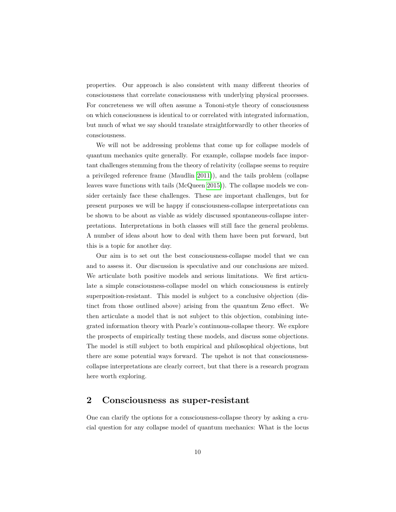properties. Our approach is also consistent with many different theories of consciousness that correlate consciousness with underlying physical processes. For concreteness we will often assume a Tononi-style theory of consciousness on which consciousness is identical to or correlated with integrated information, but much of what we say should translate straightforwardly to other theories of consciousness.

We will not be addressing problems that come up for collapse models of quantum mechanics quite generally. For example, collapse models face important challenges stemming from the theory of relativity (collapse seems to require a privileged reference frame (Maudlin [2011\)](#page-56-2)), and the tails problem (collapse leaves wave functions with tails (McQueen [2015\)](#page-57-2)). The collapse models we consider certainly face these challenges. These are important challenges, but for present purposes we will be happy if consciousness-collapse interpretations can be shown to be about as viable as widely discussed spontaneous-collapse interpretations. Interpretations in both classes will still face the general problems. A number of ideas about how to deal with them have been put forward, but this is a topic for another day.

Our aim is to set out the best consciousness-collapse model that we can and to assess it. Our discussion is speculative and our conclusions are mixed. We articulate both positive models and serious limitations. We first articulate a simple consciousness-collapse model on which consciousness is entirely superposition-resistant. This model is subject to a conclusive objection (distinct from those outlined above) arising from the quantum Zeno effect. We then articulate a model that is not subject to this objection, combining integrated information theory with Pearle's continuous-collapse theory. We explore the prospects of empirically testing these models, and discuss some objections. The model is still subject to both empirical and philosophical objections, but there are some potential ways forward. The upshot is not that consciousnesscollapse interpretations are clearly correct, but that there is a research program here worth exploring.

#### <span id="page-9-0"></span>**2 Consciousness as super-resistant**

One can clarify the options for a consciousness-collapse theory by asking a crucial question for any collapse model of quantum mechanics: What is the locus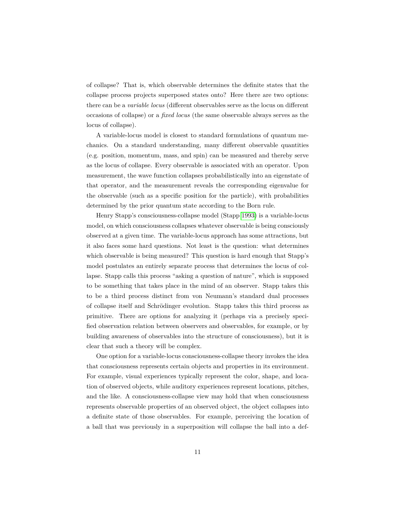of collapse? That is, which observable determines the definite states that the collapse process projects superposed states onto? Here there are two options: there can be a *variable locus* (different observables serve as the locus on different occasions of collapse) or a *fixed locus* (the same observable always serves as the locus of collapse).

A variable-locus model is closest to standard formulations of quantum mechanics. On a standard understanding, many different observable quantities (e.g. position, momentum, mass, and spin) can be measured and thereby serve as the locus of collapse. Every observable is associated with an operator. Upon measurement, the wave function collapses probabilistically into an eigenstate of that operator, and the measurement reveals the corresponding eigenvalue for the observable (such as a specific position for the particle), with probabilities determined by the prior quantum state according to the Born rule.

Henry Stapp's consciousness-collapse model (Stapp [1993\)](#page-58-4) is a variable-locus model, on which consciousness collapses whatever observable is being consciously observed at a given time. The variable-locus approach has some attractions, but it also faces some hard questions. Not least is the question: what determines which observable is being measured? This question is hard enough that Stapp's model postulates an entirely separate process that determines the locus of collapse. Stapp calls this process "asking a question of nature", which is supposed to be something that takes place in the mind of an observer. Stapp takes this to be a third process distinct from von Neumann's standard dual processes of collapse itself and Schrödinger evolution. Stapp takes this third process as primitive. There are options for analyzing it (perhaps via a precisely specified observation relation between observers and observables, for example, or by building awareness of observables into the structure of consciousness), but it is clear that such a theory will be complex.

One option for a variable-locus consciousness-collapse theory invokes the idea that consciousness represents certain objects and properties in its environment. For example, visual experiences typically represent the color, shape, and location of observed objects, while auditory experiences represent locations, pitches, and the like. A consciousness-collapse view may hold that when consciousness represents observable properties of an observed object, the object collapses into a definite state of those observables. For example, perceiving the location of a ball that was previously in a superposition will collapse the ball into a def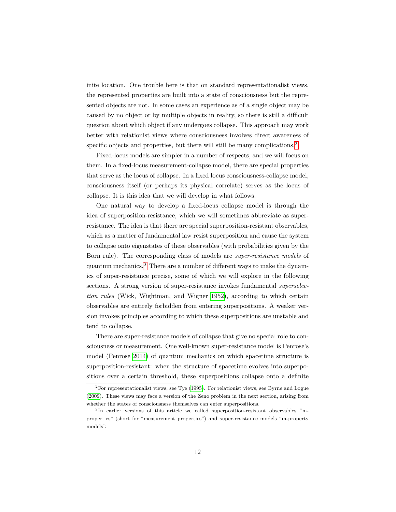inite location. One trouble here is that on standard representationalist views, the represented properties are built into a state of consciousness but the represented objects are not. In some cases an experience as of a single object may be caused by no object or by multiple objects in reality, so there is still a difficult question about which object if any undergoes collapse. This approach may work better with relationist views where consciousness involves direct awareness of specific objects and properties, but there will still be many complications.<sup>[2](#page-0-0)</sup>

Fixed-locus models are simpler in a number of respects, and we will focus on them. In a fixed-locus measurement-collapse model, there are special properties that serve as the locus of collapse. In a fixed locus consciousness-collapse model, consciousness itself (or perhaps its physical correlate) serves as the locus of collapse. It is this idea that we will develop in what follows.

One natural way to develop a fixed-locus collapse model is through the idea of superposition-resistance, which we will sometimes abbreviate as superresistance. The idea is that there are special superposition-resistant observables, which as a matter of fundamental law resist superposition and cause the system to collapse onto eigenstates of these observables (with probabilities given by the Born rule). The corresponding class of models are *super-resistance models* of quantum mechanics.[3](#page-0-0) There are a number of different ways to make the dynamics of super-resistance precise, some of which we will explore in the following sections. A strong version of super-resistance invokes fundamental *superselection rules* (Wick, Wightman, and Wigner [1952\)](#page-58-5), according to which certain observables are entirely forbidden from entering superpositions. A weaker version invokes principles according to which these superpositions are unstable and tend to collapse.

There are super-resistance models of collapse that give no special role to consciousness or measurement. One well-known super-resistance model is Penrose's model (Penrose [2014\)](#page-57-3) of quantum mechanics on which spacetime structure is superposition-resistant: when the structure of spacetime evolves into superpositions over a certain threshold, these superpositions collapse onto a definite

<sup>2</sup>For representationalist views, see Tye [\(1995\)](#page-58-6). For relationist views, see Byrne and Logue [\(2009\)](#page-55-7). These views may face a version of the Zeno problem in the next section, arising from whether the states of consciousness themselves can enter superpositions.

<sup>3</sup> In earlier versions of this article we called superposition-resistant observables "mproperties" (short for "measurement properties") and super-resistance models "m-property models".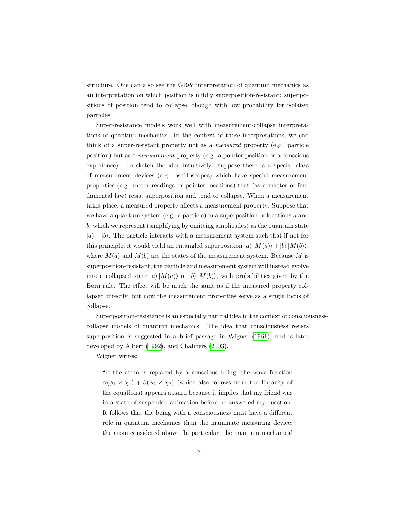structure. One can also see the GRW interpretation of quantum mechanics as an interpretation on which position is mildly superposition-resistant: superpositions of position tend to collapse, though with low probability for isolated particles.

Super-resistance models work well with measurement-collapse interpretations of quantum mechanics. In the context of these interpretations, we can think of a super-resistant property not as a *measured* property (e.g. particle position) but as a *measurement* property (e.g. a pointer position or a conscious experience). To sketch the idea intuitively: suppose there is a special class of measurement devices (e.g. oscilloscopes) which have special measurement properties (e.g. meter readings or pointer locations) that (as a matter of fundamental law) resist superposition and tend to collapse. When a measurement takes place, a measured property affects a measurement property. Suppose that we have a quantum system (e.g. a particle) in a superposition of locations *a* and *b*, which we represent (simplifying by omitting amplitudes) as the quantum state  $|a\rangle + |b\rangle$ . The particle interacts with a measurement system such that if not for this principle, it would yield an entangled superposition  $|a\rangle |M(a)\rangle + |b\rangle |M(b)\rangle$ , where  $M(a)$  and  $M(b)$  are the states of the measurement system. Because M is superposition-resistant, the particle and measurement system will instead evolve into a collapsed state  $|a\rangle$   $|M(a)\rangle$  or  $|b\rangle$   $|M(b)\rangle$ , with probabilities given by the Born rule. The effect will be much the same as if the measured property collapsed directly, but now the measurement properties serve as a single locus of collapse.

Superposition-resistance is an especially natural idea in the context of consciousnesscollapse models of quantum mechanics. The idea that consciousness resists superposition is suggested in a brief passage in Wigner [\(1961\)](#page-58-7), and is later developed by Albert [\(1992\)](#page-54-0), and Chalmers [\(2003\)](#page-55-3).

Wigner writes:

"If the atom is replaced by a conscious being, the wave function  $\alpha(\phi_1 \times \chi_1) + \beta(\phi_2 \times \chi_2)$  (which also follows from the linearity of the equations) appears absurd because it implies that my friend was in a state of suspended animation before he answered my question. It follows that the being with a consciousness must have a different role in quantum mechanics than the inanimate measuring device: the atom considered above. In particular, the quantum mechanical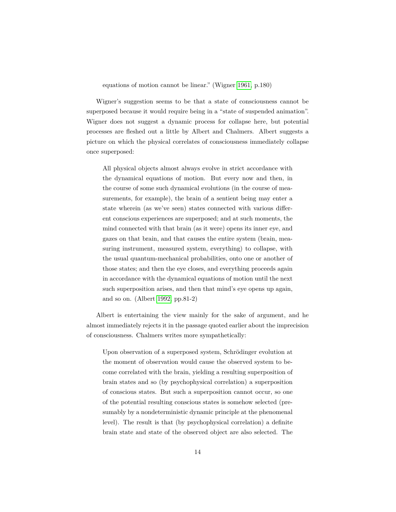#### equations of motion cannot be linear." (Wigner [1961,](#page-58-7) p.180)

Wigner's suggestion seems to be that a state of consciousness cannot be superposed because it would require being in a "state of suspended animation". Wigner does not suggest a dynamic process for collapse here, but potential processes are fleshed out a little by Albert and Chalmers. Albert suggests a picture on which the physical correlates of consciousness immediately collapse once superposed:

All physical objects almost always evolve in strict accordance with the dynamical equations of motion. But every now and then, in the course of some such dynamical evolutions (in the course of measurements, for example), the brain of a sentient being may enter a state wherein (as we've seen) states connected with various different conscious experiences are superposed; and at such moments, the mind connected with that brain (as it were) opens its inner eye, and gazes on that brain, and that causes the entire system (brain, measuring instrument, measured system, everything) to collapse, with the usual quantum-mechanical probabilities, onto one or another of those states; and then the eye closes, and everything proceeds again in accordance with the dynamical equations of motion until the next such superposition arises, and then that mind's eye opens up again, and so on. (Albert [1992,](#page-54-0) pp.81-2)

Albert is entertaining the view mainly for the sake of argument, and he almost immediately rejects it in the passage quoted earlier about the imprecision of consciousness. Chalmers writes more sympathetically:

Upon observation of a superposed system, Schrödinger evolution at the moment of observation would cause the observed system to become correlated with the brain, yielding a resulting superposition of brain states and so (by psychophysical correlation) a superposition of conscious states. But such a superposition cannot occur, so one of the potential resulting conscious states is somehow selected (presumably by a nondeterministic dynamic principle at the phenomenal level). The result is that (by psychophysical correlation) a definite brain state and state of the observed object are also selected. The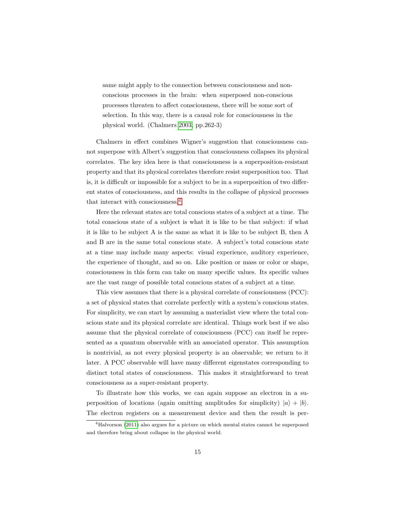same might apply to the connection between consciousness and nonconscious processes in the brain: when superposed non-conscious processes threaten to affect consciousness, there will be some sort of selection. In this way, there is a causal role for consciousness in the physical world. (Chalmers [2003,](#page-55-3) pp.262-3)

Chalmers in effect combines Wigner's suggestion that consciousness cannot superpose with Albert's suggestion that consciousness collapses its physical correlates. The key idea here is that consciousness is a superposition-resistant property and that its physical correlates therefore resist superposition too. That is, it is difficult or impossible for a subject to be in a superposition of two different states of consciousness, and this results in the collapse of physical processes that interact with consciousness.[4](#page-0-0)

Here the relevant states are total conscious states of a subject at a time. The total conscious state of a subject is what it is like to be that subject: if what it is like to be subject A is the same as what it is like to be subject B, then A and B are in the same total conscious state. A subject's total conscious state at a time may include many aspects: visual experience, auditory experience, the experience of thought, and so on. Like position or mass or color or shape, consciousness in this form can take on many specific values. Its specific values are the vast range of possible total conscious states of a subject at a time.

This view assumes that there is a physical correlate of consciousness (PCC): a set of physical states that correlate perfectly with a system's conscious states. For simplicity, we can start by assuming a materialist view where the total conscious state and its physical correlate are identical. Things work best if we also assume that the physical correlate of consciousness (PCC) can itself be represented as a quantum observable with an associated operator. This assumption is nontrivial, as not every physical property is an observable; we return to it later. A PCC observable will have many different eigenstates corresponding to distinct total states of consciousness. This makes it straightforward to treat consciousness as a super-resistant property.

To illustrate how this works, we can again suppose an electron in a superposition of locations (again omitting amplitudes for simplicity)  $|a\rangle + |b\rangle$ . The electron registers on a measurement device and then the result is per-

<sup>4</sup>Halvorson [\(2011\)](#page-56-3) also argues for a picture on which mental states cannot be superposed and therefore bring about collapse in the physical world.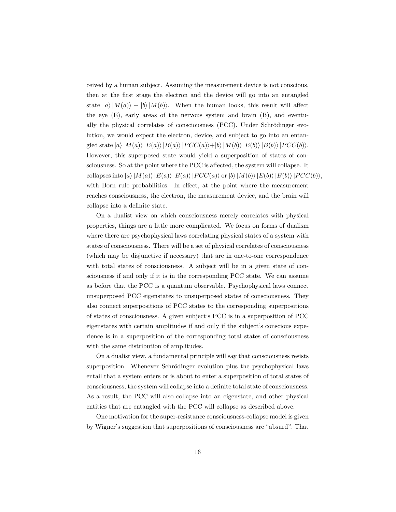ceived by a human subject. Assuming the measurement device is not conscious, then at the first stage the electron and the device will go into an entangled state  $|a\rangle |M(a)\rangle + |b\rangle |M(b)\rangle$ . When the human looks, this result will affect the eye (E), early areas of the nervous system and brain (B), and eventually the physical correlates of consciousness  $(PCC)$ . Under Schrödinger evolution, we would expect the electron, device, and subject to go into an entan- $\langle$  gled state  $|a\rangle$   $|M(a)\rangle$   $|E(a)\rangle$   $|B(a)\rangle$   $|PCC(a)\rangle + |b\rangle$   $|M(b)\rangle$   $|E(b)\rangle$   $|B(b)\rangle$   $|PCC(b)\rangle$ . However, this superposed state would yield a superposition of states of consciousness. So at the point where the PCC is affected, the system will collapse. It collapses into  $|a\rangle |M(a)\rangle |E(a)\rangle |BCC(a)\rangle$  or  $|b\rangle |M(b)\rangle |E(b)\rangle |BCC(b)\rangle$ , with Born rule probabilities. In effect, at the point where the measurement reaches consciousness, the electron, the measurement device, and the brain will collapse into a definite state.

On a dualist view on which consciousness merely correlates with physical properties, things are a little more complicated. We focus on forms of dualism where there are psychophysical laws correlating physical states of a system with states of consciousness. There will be a set of physical correlates of consciousness (which may be disjunctive if necessary) that are in one-to-one correspondence with total states of consciousness. A subject will be in a given state of consciousness if and only if it is in the corresponding PCC state. We can assume as before that the PCC is a quantum observable. Psychophysical laws connect unsuperposed PCC eigenstates to unsuperposed states of consciousness. They also connect superpositions of PCC states to the corresponding superpositions of states of consciousness. A given subject's PCC is in a superposition of PCC eigenstates with certain amplitudes if and only if the subject's conscious experience is in a superposition of the corresponding total states of consciousness with the same distribution of amplitudes.

On a dualist view, a fundamental principle will say that consciousness resists superposition. Whenever Schrödinger evolution plus the psychophysical laws entail that a system enters or is about to enter a superposition of total states of consciousness, the system will collapse into a definite total state of consciousness. As a result, the PCC will also collapse into an eigenstate, and other physical entities that are entangled with the PCC will collapse as described above.

One motivation for the super-resistance consciousness-collapse model is given by Wigner's suggestion that superpositions of consciousness are "absurd". That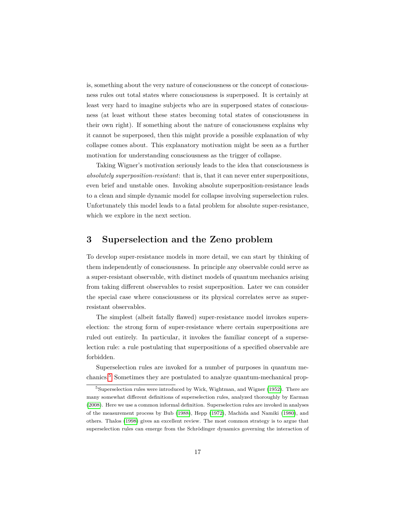is, something about the very nature of consciousness or the concept of consciousness rules out total states where consciousness is superposed. It is certainly at least very hard to imagine subjects who are in superposed states of consciousness (at least without these states becoming total states of consciousness in their own right). If something about the nature of consciousness explains why it cannot be superposed, then this might provide a possible explanation of why collapse comes about. This explanatory motivation might be seen as a further motivation for understanding consciousness as the trigger of collapse.

Taking Wigner's motivation seriously leads to the idea that consciousness is *absolutely superposition-resistant*: that is, that it can never enter superpositions, even brief and unstable ones. Invoking absolute superposition-resistance leads to a clean and simple dynamic model for collapse involving superselection rules. Unfortunately this model leads to a fatal problem for absolute super-resistance, which we explore in the next section.

#### <span id="page-16-0"></span>**3 Superselection and the Zeno problem**

To develop super-resistance models in more detail, we can start by thinking of them independently of consciousness. In principle any observable could serve as a super-resistant observable, with distinct models of quantum mechanics arising from taking different observables to resist superposition. Later we can consider the special case where consciousness or its physical correlates serve as superresistant observables.

The simplest (albeit fatally flawed) super-resistance model invokes superselection: the strong form of super-resistance where certain superpositions are ruled out entirely. In particular, it invokes the familiar concept of a superselection rule: a rule postulating that superpositions of a specified observable are forbidden.

Superselection rules are invoked for a number of purposes in quantum mechanics.[5](#page-0-0) Sometimes they are postulated to analyze quantum-mechanical prop-

<sup>5</sup>Superselection rules were introduced by Wick, Wightman, and Wigner [\(1952\)](#page-58-5). There are many somewhat different definitions of superselection rules, analyzed thoroughly by Earman [\(2008\)](#page-55-8). Here we use a common informal definition. Superselection rules are invoked in analyses of the measurement process by Bub [\(1988\)](#page-55-9), Hepp [\(1972\)](#page-56-4), Machida and Namiki [\(1980\)](#page-56-5), and others. Thalos [\(1998\)](#page-58-8) gives an excellent review. The most common strategy is to argue that superselection rules can emerge from the Schrödinger dynamics governing the interaction of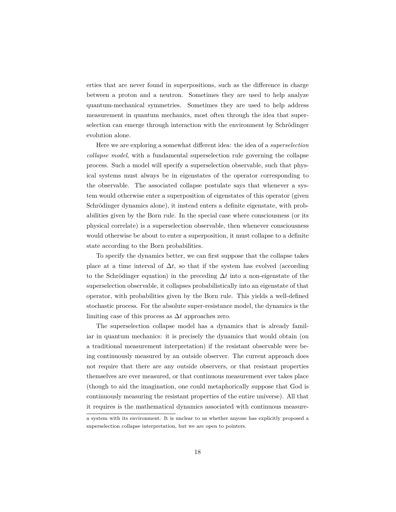erties that are never found in superpositions, such as the difference in charge between a proton and a neutron. Sometimes they are used to help analyze quantum-mechanical symmetries. Sometimes they are used to help address measurement in quantum mechanics, most often through the idea that superselection can emerge through interaction with the environment by Schrödinger evolution alone.

Here we are exploring a somewhat different idea: the idea of a *superselection collapse model*, with a fundamental superselection rule governing the collapse process. Such a model will specify a superselection observable, such that physical systems must always be in eigenstates of the operator corresponding to the observable. The associated collapse postulate says that whenever a system would otherwise enter a superposition of eigenstates of this operator (given Schrödinger dynamics alone), it instead enters a definite eigenstate, with probabilities given by the Born rule. In the special case where consciousness (or its physical correlate) is a superselection observable, then whenever consciousness would otherwise be about to enter a superposition, it must collapse to a definite state according to the Born probabilities.

To specify the dynamics better, we can first suppose that the collapse takes place at a time interval of  $\Delta t$ , so that if the system has evolved (according to the Schrödinger equation) in the preceding  $\Delta t$  into a non-eigenstate of the superselection observable, it collapses probabilistically into an eigenstate of that operator, with probabilities given by the Born rule. This yields a well-defined stochastic process. For the absolute super-resistance model, the dynamics is the limiting case of this process as ∆*t* approaches zero.

The superselection collapse model has a dynamics that is already familiar in quantum mechanics: it is precisely the dynamics that would obtain (on a traditional measurement interpretation) if the resistant observable were being continuously measured by an outside observer. The current approach does not require that there are any outside observers, or that resistant properties themselves are ever measured, or that continuous measurement ever takes place (though to aid the imagination, one could metaphorically suppose that God is continuously measuring the resistant properties of the entire universe). All that it requires is the mathematical dynamics associated with continuous measure-

a system with its environment. It is unclear to us whether anyone has explicitly proposed a superselection collapse interpretation, but we are open to pointers.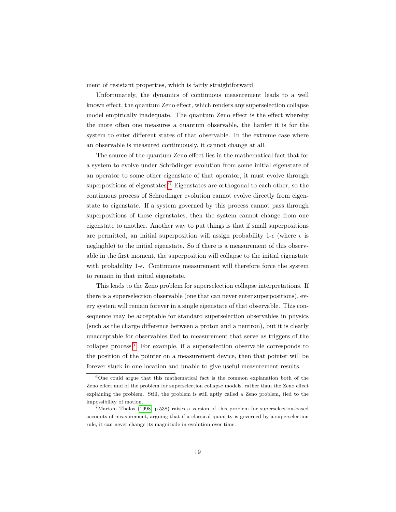ment of resistant properties, which is fairly straightforward.

Unfortunately, the dynamics of continuous measurement leads to a well known effect, the quantum Zeno effect, which renders any superselection collapse model empirically inadequate. The quantum Zeno effect is the effect whereby the more often one measures a quantum observable, the harder it is for the system to enter different states of that observable. In the extreme case where an observable is measured continuously, it cannot change at all.

The source of the quantum Zeno effect lies in the mathematical fact that for a system to evolve under Schrödinger evolution from some initial eigenstate of an operator to some other eigenstate of that operator, it must evolve through superpositions of eigenstates.<sup>[6](#page-0-0)</sup> Eigenstates are orthogonal to each other, so the continuous process of Schrodinger evolution cannot evolve directly from eigenstate to eigenstate. If a system governed by this process cannot pass through superpositions of these eigenstates, then the system cannot change from one eigenstate to another. Another way to put things is that if small superpositions are permitted, an initial superposition will assign probability 1- $\epsilon$  (where  $\epsilon$  is negligible) to the initial eigenstate. So if there is a measurement of this observable in the first moment, the superposition will collapse to the initial eigenstate with probability 1- $\epsilon$ . Continuous measurement will therefore force the system to remain in that initial eigenstate.

This leads to the Zeno problem for superselection collapse interpretations. If there is a superselection observable (one that can never enter superpositions), every system will remain forever in a single eigenstate of that observable. This consequence may be acceptable for standard superselection observables in physics (such as the charge difference between a proton and a neutron), but it is clearly unacceptable for observables tied to measurement that serve as triggers of the collapse process.<sup>[7](#page-0-0)</sup> For example, if a superselection observable corresponds to the position of the pointer on a measurement device, then that pointer will be forever stuck in one location and unable to give useful measurement results.

 $6$ One could argue that this mathematical fact is the common explanation both of the Zeno effect and of the problem for superselection collapse models, rather than the Zeno effect explaining the problem. Still, the problem is still aptly called a Zeno problem, tied to the impossibility of motion.

<sup>7</sup>Mariam Thalos [\(1998,](#page-58-8) p.538) raises a version of this problem for superselection-based accounts of measurement, arguing that if a classical quantity is governed by a superselection rule, it can never change its magnitude in evolution over time.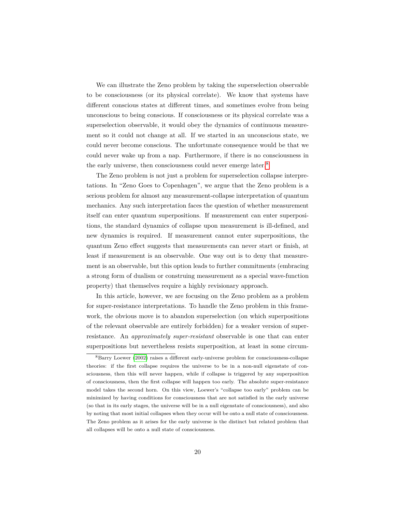We can illustrate the Zeno problem by taking the superselection observable to be consciousness (or its physical correlate). We know that systems have different conscious states at different times, and sometimes evolve from being unconscious to being conscious. If consciousness or its physical correlate was a superselection observable, it would obey the dynamics of continuous measurement so it could not change at all. If we started in an unconscious state, we could never become conscious. The unfortunate consequence would be that we could never wake up from a nap. Furthermore, if there is no consciousness in the early universe, then consciousness could never emerge later.<sup>[8](#page-0-0)</sup>

The Zeno problem is not just a problem for superselection collapse interpretations. In "Zeno Goes to Copenhagen", we argue that the Zeno problem is a serious problem for almost any measurement-collapse interpretation of quantum mechanics. Any such interpretation faces the question of whether measurement itself can enter quantum superpositions. If measurement can enter superpositions, the standard dynamics of collapse upon measurement is ill-defined, and new dynamics is required. If measurement cannot enter superpositions, the quantum Zeno effect suggests that measurements can never start or finish, at least if measurement is an observable. One way out is to deny that measurement is an observable, but this option leads to further commitments (embracing a strong form of dualism or construing measurement as a special wave-function property) that themselves require a highly revisionary approach.

In this article, however, we are focusing on the Zeno problem as a problem for super-resistance interpretations. To handle the Zeno problem in this framework, the obvious move is to abandon superselection (on which superpositions of the relevant observable are entirely forbidden) for a weaker version of superresistance. An *approximately super-resistant* observable is one that can enter superpositions but nevertheless resists superposition, at least in some circum-

<sup>8</sup>Barry Loewer [\(2002\)](#page-56-6) raises a different early-universe problem for consciousness-collapse theories: if the first collapse requires the universe to be in a non-null eigenstate of consciousness, then this will never happen, while if collapse is triggered by any superposition of consciousness, then the first collapse will happen too early. The absolute super-resistance model takes the second horn. On this view, Loewer's "collapse too early" problem can be minimized by having conditions for consciousness that are not satisfied in the early universe (so that in its early stages, the universe will be in a null eigenstate of consciousness), and also by noting that most initial collapses when they occur will be onto a null state of consciousness. The Zeno problem as it arises for the early universe is the distinct but related problem that all collapses will be onto a null state of consciousness.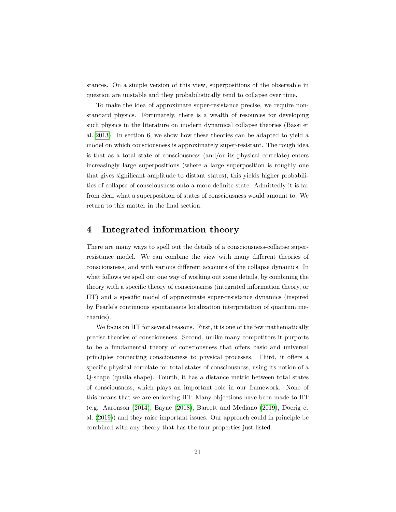stances. On a simple version of this view, superpositions of the observable in question are unstable and they probabilistically tend to collapse over time.

To make the idea of approximate super-resistance precise, we require nonstandard physics. Fortunately, there is a wealth of resources for developing such physics in the literature on modern dynamical collapse theories (Bassi et al. [2013\)](#page-54-2). In section 6, we show how these theories can be adapted to yield a model on which consciousness is approximately super-resistant. The rough idea is that as a total state of consciousness (and/or its physical correlate) enters increasingly large superpositions (where a large superposition is roughly one that gives significant amplitude to distant states), this yields higher probabilities of collapse of consciousness onto a more definite state. Admittedly it is far from clear what a superposition of states of consciousness would amount to. We return to this matter in the final section.

#### <span id="page-20-0"></span>**4 Integrated information theory**

There are many ways to spell out the details of a consciousness-collapse superresistance model. We can combine the view with many different theories of consciousness, and with various different accounts of the collapse dynamics. In what follows we spell out one way of working out some details, by combining the theory with a specific theory of consciousness (integrated information theory, or IIT) and a specific model of approximate super-resistance dynamics (inspired by Pearle's continuous spontaneous localization interpretation of quantum mechanics).

We focus on IIT for several reasons. First, it is one of the few mathematically precise theories of consciousness. Second, unlike many competitors it purports to be a fundamental theory of consciousness that offers basic and universal principles connecting consciousness to physical processes. Third, it offers a specific physical correlate for total states of consciousness, using its notion of a Q-shape (qualia shape). Fourth, it has a distance metric between total states of consciousness, which plays an important role in our framework. None of this means that we are endorsing IIT. Many objections have been made to IIT (e.g. Aaronson [\(2014\)](#page-54-3), Bayne [\(2018\)](#page-54-4), Barrett and Mediano [\(2019\)](#page-54-5), Doerig et al. [\(2019\)](#page-55-10)) and they raise important issues. Our approach could in principle be combined with any theory that has the four properties just listed.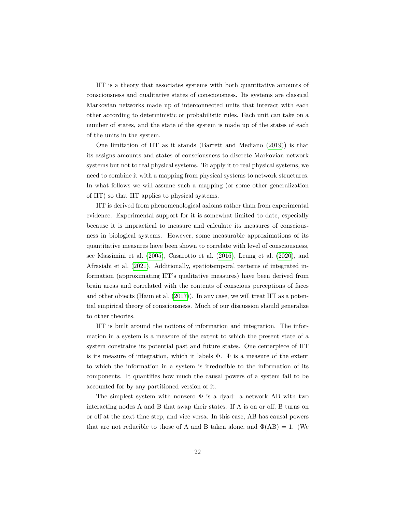IIT is a theory that associates systems with both quantitative amounts of consciousness and qualitative states of consciousness. Its systems are classical Markovian networks made up of interconnected units that interact with each other according to deterministic or probabilistic rules. Each unit can take on a number of states, and the state of the system is made up of the states of each of the units in the system.

One limitation of IIT as it stands (Barrett and Mediano [\(2019\)](#page-54-5)) is that its assigns amounts and states of consciousness to discrete Markovian network systems but not to real physical systems. To apply it to real physical systems, we need to combine it with a mapping from physical systems to network structures. In what follows we will assume such a mapping (or some other generalization of IIT) so that IIT applies to physical systems.

IIT is derived from phenomenological axioms rather than from experimental evidence. Experimental support for it is somewhat limited to date, especially because it is impractical to measure and calculate its measures of consciousness in biological systems. However, some measurable approximations of its quantitative measures have been shown to correlate with level of consciousness, see Massimini et al. [\(2005\)](#page-56-7), Casarotto et al. [\(2016\)](#page-55-11), Leung et al. [\(2020\)](#page-56-8), and Afrasiabi et al. [\(2021\)](#page-54-6). Additionally, spatiotemporal patterns of integrated information (approximating IIT's qualitative measures) have been derived from brain areas and correlated with the contents of conscious perceptions of faces and other objects (Haun et al. [\(2017\)](#page-56-9)). In any case, we will treat IIT as a potential empirical theory of consciousness. Much of our discussion should generalize to other theories.

IIT is built around the notions of information and integration. The information in a system is a measure of the extent to which the present state of a system constrains its potential past and future states. One centerpiece of IIT is its measure of integration, which it labels  $\Phi$ .  $\Phi$  is a measure of the extent to which the information in a system is irreducible to the information of its components. It quantifies how much the causal powers of a system fail to be accounted for by any partitioned version of it.

The simplest system with nonzero  $\Phi$  is a dyad: a network AB with two interacting nodes A and B that swap their states. If A is on or off, B turns on or off at the next time step, and vice versa. In this case, AB has causal powers that are not reducible to those of A and B taken alone, and  $\Phi(AB) = 1$ . (We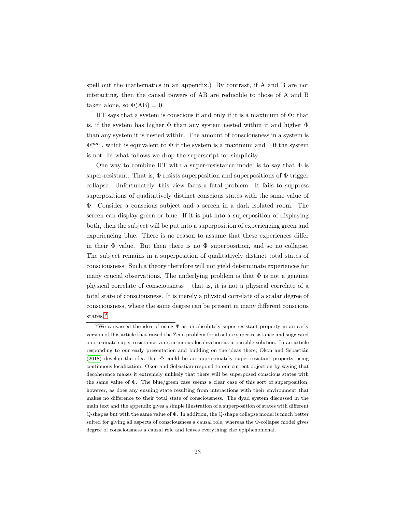spell out the mathematics in an appendix.) By contrast, if A and B are not interacting, then the causal powers of AB are reducible to those of A and B taken alone, so  $\Phi(AB) = 0$ .

IIT says that a system is conscious if and only if it is a maximum of  $\Phi$ : that is, if the system has higher  $\Phi$  than any system nested within it and higher  $\Phi$ than any system it is nested within. The amount of consciousness in a system is  $\Phi^{max}$ , which is equivalent to  $\Phi$  if the system is a maximum and 0 if the system is not. In what follows we drop the superscript for simplicity.

One way to combine IIT with a super-resistance model is to say that  $\Phi$  is super-resistant. That is,  $\Phi$  resists superposition and superpositions of  $\Phi$  trigger collapse. Unfortunately, this view faces a fatal problem. It fails to suppress superpositions of qualitatively distinct conscious states with the same value of Φ. Consider a conscious subject and a screen in a dark isolated room. The screen can display green or blue. If it is put into a superposition of displaying both, then the subject will be put into a superposition of experiencing green and experiencing blue. There is no reason to assume that these experiences differ in their Φ–value. But then there is no Φ–superposition, and so no collapse. The subject remains in a superposition of qualitatively distinct total states of consciousness. Such a theory therefore will not yield determinate experiences for many crucial observations. The underlying problem is that  $\Phi$  is not a genuine physical correlate of consciousness – that is, it is not a physical correlate of a total state of consciousness. It is merely a physical correlate of a scalar degree of consciousness, where the same degree can be present in many different conscious states.<sup>[9](#page-0-0)</sup>

<sup>9</sup>We canvassed the idea of using Φ as an absolutely super-resistant property in an early version of this article that raised the Zeno problem for absolute super-resistance and suggested approximate super-resistance via continuous localization as a possible solution. In an article responding to our early presentation and building on the ideas there, Okon and Sebastián  $(2018)$  develop the idea that  $\Phi$  could be an approximately super-resistant property using continuous localization. Okon and Sebastian respond to our current objection by saying that decoherence makes it extremely unlikely that there will be superposed conscious states with the same value of  $\Phi$ . The blue/green case seems a clear case of this sort of superposition, however, as does any ensuing state resulting from interactions with their environment that makes no difference to their total state of consciousness. The dyad system discussed in the main text and the appendix gives a simple illustration of a superposition of states with different Q-shapes but with the same value of Φ. In addition, the Q-shape collapse model is much better suited for giving all aspects of consciousness a causal role, whereas the Φ-collapse model gives degree of consciousness a causal role and leaves everything else epiphenomenal.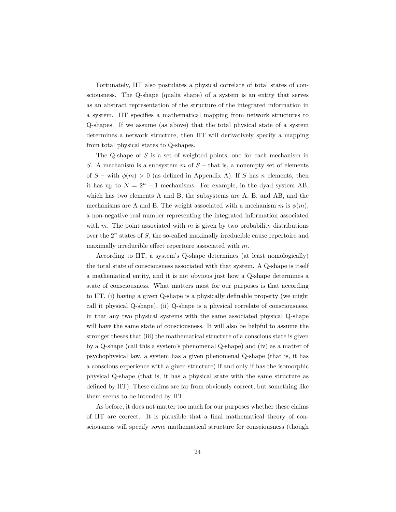Fortunately, IIT also postulates a physical correlate of total states of consciousness. The Q-shape (qualia shape) of a system is an entity that serves as an abstract representation of the structure of the integrated information in a system. IIT specifies a mathematical mapping from network structures to Q-shapes. If we assume (as above) that the total physical state of a system determines a network structure, then IIT will derivatively specify a mapping from total physical states to Q-shapes.

The Q-shape of *S* is a set of weighted points, one for each mechanism in *S*. A mechanism is a subsystem *m* of *S* – that is, a nonempty set of elements of  $S$  – with  $\phi(m) > 0$  (as defined in Appendix A). If *S* has *n* elements, then it has up to  $N = 2^n - 1$  mechanisms. For example, in the dyad system AB, which has two elements A and B, the subsystems are A, B, and AB, and the mechanisms are A and B. The weight associated with a mechanism *m* is  $\phi(m)$ , a non-negative real number representing the integrated information associated with *m*. The point associated with *m* is given by two probability distributions over the 2*<sup>n</sup>* states of *S*, the so-called maximally irreducible cause repertoire and maximally irreducible effect repertoire associated with *m*.

According to IIT, a system's Q-shape determines (at least nomologically) the total state of consciousness associated with that system. A Q-shape is itself a mathematical entity, and it is not obvious just how a Q-shape determines a state of consciousness. What matters most for our purposes is that according to IIT, (i) having a given Q-shape is a physically definable property (we might call it physical Q-shape), (ii) Q-shape is a physical correlate of consciousness, in that any two physical systems with the same associated physical Q-shape will have the same state of consciousness. It will also be helpful to assume the stronger theses that (iii) the mathematical structure of a conscious state is given by a Q-shape (call this a system's phenomenal Q-shape) and (iv) as a matter of psychophysical law, a system has a given phenomenal Q-shape (that is, it has a conscious experience with a given structure) if and only if has the isomorphic physical Q-shape (that is, it has a physical state with the same structure as defined by IIT). These claims are far from obviously correct, but something like them seems to be intended by IIT.

As before, it does not matter too much for our purposes whether these claims of IIT are correct. It is plausible that a final mathematical theory of consciousness will specify *some* mathematical structure for consciousness (though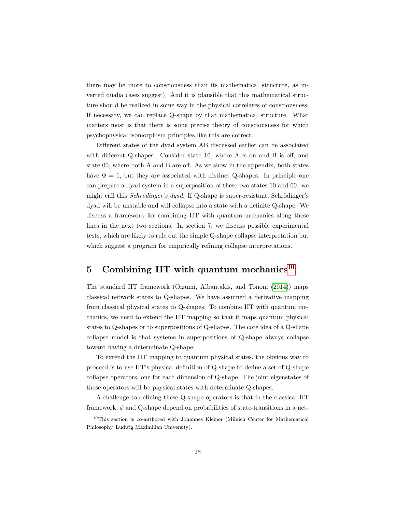there may be more to consciousness than its mathematical structure, as inverted qualia cases suggest). And it is plausible that this mathematical structure should be realized in some way in the physical correlates of consciousness. If necessary, we can replace Q-shape by that mathematical structure. What matters most is that there is some precise theory of consciousness for which psychophysical isomorphism principles like this are correct.

Different states of the dyad system AB discussed earlier can be associated with different Q-shapes. Consider state 10, where A is on and B is off, and state 00, where both A and B are off. As we show in the appendix, both states have  $\Phi = 1$ , but they are associated with distinct Q-shapes. In principle one can prepare a dyad system in a superposition of these two states 10 and 00: we might call this *Schrödinger's dyad*. If Q-shape is super-resistant, Schrödinger's dyad will be unstable and will collapse into a state with a definite Q-shape. We discuss a framework for combining IIT with quantum mechanics along these lines in the next two sections. In section 7, we discuss possible experimental tests, which are likely to rule out the simple Q-shape collapse interpretation but which suggest a program for empirically refining collapse interpretations.

## <span id="page-24-0"></span>**5 Combining IIT with quantum mechanics**[10](#page-0-0)

The standard IIT framework (Oizumi, Albantakis, and Tononi [\(2014\)](#page-57-5)) maps classical network states to Q-shapes. We have assumed a derivative mapping from classical physical states to Q-shapes. To combine IIT with quantum mechanics, we need to extend the IIT mapping so that it maps quantum physical states to Q-shapes or to superpositions of Q-shapes. The core idea of a Q-shape collapse model is that systems in superpositions of Q-shape always collapse toward having a determinate Q-shape.

To extend the IIT mapping to quantum physical states, the obvious way to proceed is to use IIT's physical definition of Q-shape to define a set of Q-shape collapse operators, one for each dimension of Q-shape. The joint eigenstates of these operators will be physical states with determinate Q-shapes.

A challenge to defining these Q-shape operators is that in the classical IIT framework, *φ* and Q-shape depend on probabilities of state-transitions in a net-

 $10$ This section is co-authored with Johannes Kleiner (Münich Center for Mathematical Philosophy, Ludwig Maximilian University).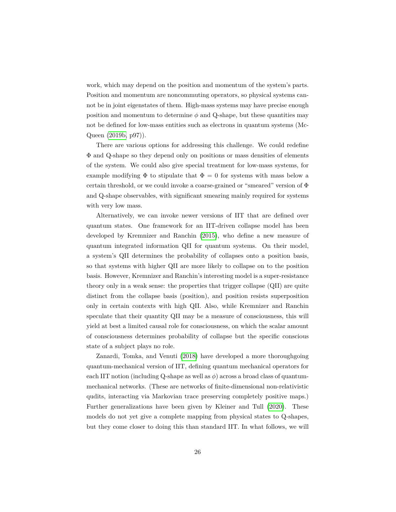work, which may depend on the position and momentum of the system's parts. Position and momentum are noncommuting operators, so physical systems cannot be in joint eigenstates of them. High-mass systems may have precise enough position and momentum to determine  $\phi$  and Q-shape, but these quantities may not be defined for low-mass entities such as electrons in quantum systems (Mc-Queen [\(2019b,](#page-57-6) p97)).

There are various options for addressing this challenge. We could redefine Φ and Q-shape so they depend only on positions or mass densities of elements of the system. We could also give special treatment for low-mass systems, for example modifying  $\Phi$  to stipulate that  $\Phi = 0$  for systems with mass below a certain threshold, or we could invoke a coarse-grained or "smeared" version of  $\Phi$ and Q-shape observables, with significant smearing mainly required for systems with very low mass.

Alternatively, we can invoke newer versions of IIT that are defined over quantum states. One framework for an IIT-driven collapse model has been developed by Kremnizer and Ranchin [\(2015\)](#page-56-10), who define a new measure of quantum integrated information QII for quantum systems. On their model, a system's QII determines the probability of collapses onto a position basis, so that systems with higher QII are more likely to collapse on to the position basis. However, Kremnizer and Ranchin's interesting model is a super-resistance theory only in a weak sense: the properties that trigger collapse (QII) are quite distinct from the collapse basis (position), and position resists superposition only in certain contexts with high QII. Also, while Kremnizer and Ranchin speculate that their quantity QII may be a measure of consciousness, this will yield at best a limited causal role for consciousness, on which the scalar amount of consciousness determines probability of collapse but the specific conscious state of a subject plays no role.

Zanardi, Tomka, and Venuti [\(2018\)](#page-58-9) have developed a more thoroughgoing quantum-mechanical version of IIT, defining quantum mechanical operators for each IIT notion (including Q-shape as well as  $\phi$ ) across a broad class of quantummechanical networks. (These are networks of finite-dimensional non-relativistic qudits, interacting via Markovian trace preserving completely positive maps.) Further generalizations have been given by Kleiner and Tull [\(2020\)](#page-56-11). These models do not yet give a complete mapping from physical states to Q-shapes, but they come closer to doing this than standard IIT. In what follows, we will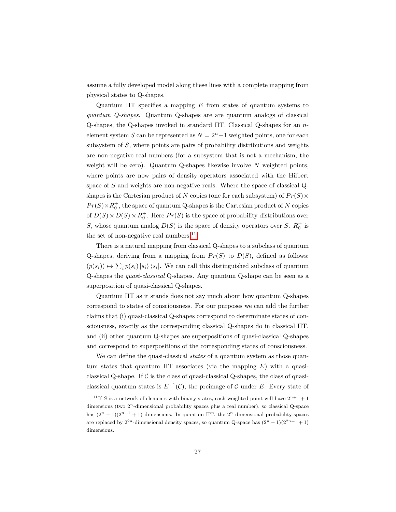assume a fully developed model along these lines with a complete mapping from physical states to Q-shapes.

Quantum IIT specifies a mapping *E* from states of quantum systems to *quantum Q-shapes*. Quantum Q-shapes are are quantum analogs of classical Q-shapes, the Q-shapes invoked in standard IIT. Classical Q-shapes for an *n*element system *S* can be represented as  $N = 2<sup>n</sup> - 1$  weighted points, one for each subsystem of *S*, where points are pairs of probability distributions and weights are non-negative real numbers (for a subsystem that is not a mechanism, the weight will be zero). Quantum Q-shapes likewise involve *N* weighted points, where points are now pairs of density operators associated with the Hilbert space of *S* and weights are non-negative reals. Where the space of classical Qshapes is the Cartesian product of *N* copies (one for each subsystem) of  $Pr(S) \times$  $Pr(S) \times R_0^+$ , the space of quantum Q-shapes is the Cartesian product of *N* copies of  $D(S) \times D(S) \times R_0^+$ . Here  $Pr(S)$  is the space of probability distributions over *S*, whose quantum analog  $D(S)$  is the space of density operators over *S*.  $R_0^+$  is the set of non-negative real numbers.<sup>[11](#page-0-0)</sup>

There is a natural mapping from classical Q-shapes to a subclass of quantum Q-shapes, deriving from a mapping from  $Pr(S)$  to  $D(S)$ , defined as follows:  $(p(s_i)) \mapsto \sum_i p(s_i) |s_i\rangle \langle s_i|$ . We can call this distinguished subclass of quantum Q-shapes the *quasi-classical* Q-shapes. Any quantum Q-shape can be seen as a superposition of quasi-classical Q-shapes.

Quantum IIT as it stands does not say much about how quantum Q-shapes correspond to states of consciousness. For our purposes we can add the further claims that (i) quasi-classical Q-shapes correspond to determinate states of consciousness, exactly as the corresponding classical Q-shapes do in classical IIT, and (ii) other quantum Q-shapes are superpositions of quasi-classical Q-shapes and correspond to superpositions of the corresponding states of consciousness.

We can define the quasi-classical *states* of a quantum system as those quantum states that quantum IIT associates (via the mapping *E*) with a quasiclassical Q-shape. If  $\mathcal C$  is the class of quasi-classical Q-shapes, the class of quasiclassical quantum states is  $E^{-1}(\mathcal{C})$ , the preimage of  $\mathcal C$  under  $E$ . Every state of

<sup>&</sup>lt;sup>11</sup>If *S* is a network of elements with binary states, each weighted point will have  $2^{n+1} + 1$ dimensions (two  $2^n$ -dimensional probability spaces plus a real number), so classical Q-space has  $(2^n - 1)(2^{n+1} + 1)$  dimensions. In quantum IIT, the  $2^n$  dimensional probability-spaces are replaced by  $2^{2n}$ -dimensional density spaces, so quantum Q-space has  $(2^{n} - 1)(2^{2n+1} + 1)$ dimensions.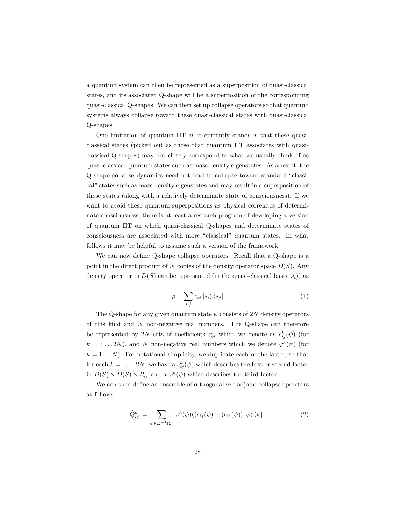a quantum system can then be represented as a superposition of quasi-classical states, and its associated Q-shape will be a superposition of the corresponding quasi-classical Q-shapes. We can then set up collapse operators so that quantum systems always collapse toward these quasi-classical states with quasi-classical Q-shapes.

One limitation of quantum IIT as it currently stands is that these quasiclassical states (picked out as those that quantum IIT associates with quasiclassical Q-shapes) may not closely correspond to what we usually think of as quasi-classical quantum states such as mass density eigenstates. As a result, the Q-shape collapse dynamics need not lead to collapse toward standard "classical" states such as mass density eigenstates and may result in a superposition of these states (along with a relatively determinate state of consciousness). If we want to avoid these quantum superpositions as physical correlates of determinate consciousness, there is at least a research program of developing a version of quantum IIT on which quasi-classical Q-shapes and determinate states of consciousness are associated with more "classical" quantum states. In what follows it may be helpful to assume such a version of the framework.

We can now define Q-shape collapse operators. Recall that a Q-shape is a point in the direct product of  $N$  copies of the density operator space  $D(S)$ . Any density operator in  $D(S)$  can be represented (in the quasi-classical basis  $|s_i\rangle$ ) as

$$
\rho = \sum_{i,j} c_{ij} |s_i\rangle \langle s_j| \tag{1}
$$

The Q-shape for any given quantum state  $\psi$  consists of 2*N* density operators of this kind and *N* non-negative real numbers. The Q-shape can therefore be represented by 2*N* sets of coefficients  $c_{ij}^k$  which we denote as  $c_{ij}^k(\psi)$  (for  $k = 1...2N$ ), and *N* non-negative real numbers which we denote  $\varphi^k(\psi)$  (for  $k = 1...N$ . For notational simplicity, we duplicate each of the latter, so that for each  $k = 1, \ldots 2N$ , we have a  $c_{ij}^k(\psi)$  which describes the first or second factor in  $D(S) \times D(S) \times R_0^+$  and a  $\varphi^k(\psi)$  which describes the third factor.

<span id="page-27-0"></span>We can then define an ensemble of orthogonal self-adjoint collapse operators as follows:

$$
\hat{Q}_{ij}^k := \sum_{\psi \in E^{-1}(\mathcal{C})} \varphi^k(\psi) ((c_{ij}(\psi) + (c_{ji}(\psi)) | \psi \rangle \langle \psi |).
$$
 (2)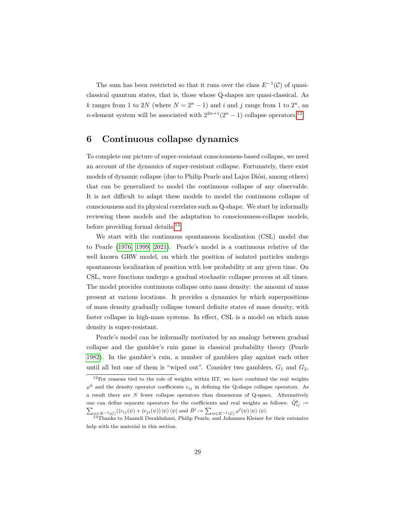The sum has been restricted so that it runs over the class  $E^{-1}(\mathcal{C})$  of quasiclassical quantum states, that is, those whose Q-shapes are quasi-classical. As *k* ranges from 1 to 2*N* (where  $N = 2^n - 1$ ) and *i* and *j* range from 1 to 2<sup>*n*</sup>, an *n*-element system will be associated with  $2^{2n+1}(2^n - 1)$  collapse operators.<sup>[12](#page-0-0)</sup>

#### <span id="page-28-0"></span>**6 Continuous collapse dynamics**

To complete our picture of super-resistant consciousness-based collapse, we need an account of the dynamics of super-resistant collapse. Fortunately, there exist models of dynamic collapse (due to Philip Pearle and Lajos Diósi, among others) that can be generalized to model the continuous collapse of any observable. It is not difficult to adapt these models to model the continuous collapse of consciousness and its physical correlates such as Q-shape. We start by informally reviewing these models and the adaptation to consciousness-collapse models, before providing formal details.<sup>[13](#page-0-0)</sup>

We start with the continuous spontaneous localization (CSL) model due to Pearle [\(1976,](#page-57-0) [1999,](#page-57-7) [2021\)](#page-57-8). Pearle's model is a continuous relative of the well known GRW model, on which the position of isolated particles undergo spontaneous localization of position with low probability at any given time. On CSL, wave functions undergo a gradual stochastic collapse process at all times. The model provides continuous collapse onto mass density: the amount of mass present at various locations. It provides a dynamics by which superpositions of mass density gradually collapse toward definite states of mass density, with faster collapse in high-mass systems. In effect, CSL is a model on which mass density is super-resistant.

Pearle's model can be informally motivated by an analogy between gradual collapse and the gambler's ruin game in classical probability theory (Pearle [1982\)](#page-57-9). In the gambler's ruin, a number of gamblers play against each other until all but one of them is "wiped out". Consider two gamblers,  $G_1$  and  $G_2$ ,

 $12$ For reasons tied to the role of weights within IIT, we have combined the real weights  $\varphi^k$  and the density operator coefficients  $c_{ij}$  in defining the Q-shape collapse operators. As a result there are *N* fewer collapse operators than dimensions of Q-space. Alternatively one can define separate operators for the coefficients and real weights as follows:  $\hat{Q}^k_{ij}$  :=  $\sum_{\psi \in E^{-1}(\mathcal{C})} ((c_{ij}(\psi) + (c_{ji}(\psi)) | \psi \rangle \langle \psi | \text{ and } \hat{B}^l := \sum_{\psi \in E^{-1}(\mathcal{C})} \varphi^l(\psi) | \psi \rangle \langle \psi |.$ 

<sup>&</sup>lt;sup>13</sup>Thanks to Maaneli Derakhshani, Philip Pearle, and Johannes Kleiner for their extensive help with the material in this section.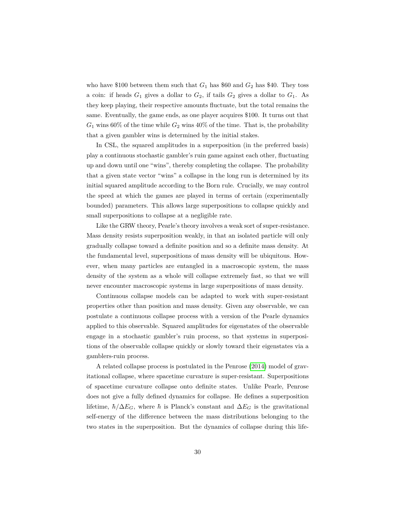who have \$100 between them such that  $G_1$  has \$60 and  $G_2$  has \$40. They toss a coin: if heads  $G_1$  gives a dollar to  $G_2$ , if tails  $G_2$  gives a dollar to  $G_1$ . As they keep playing, their respective amounts fluctuate, but the total remains the same. Eventually, the game ends, as one player acquires \$100. It turns out that  $G_1$  wins 60% of the time while  $G_2$  wins 40% of the time. That is, the probability that a given gambler wins is determined by the initial stakes.

In CSL, the squared amplitudes in a superposition (in the preferred basis) play a continuous stochastic gambler's ruin game against each other, fluctuating up and down until one "wins", thereby completing the collapse. The probability that a given state vector "wins" a collapse in the long run is determined by its initial squared amplitude according to the Born rule. Crucially, we may control the speed at which the games are played in terms of certain (experimentally bounded) parameters. This allows large superpositions to collapse quickly and small superpositions to collapse at a negligible rate.

Like the GRW theory, Pearle's theory involves a weak sort of super-resistance. Mass density resists superposition weakly, in that an isolated particle will only gradually collapse toward a definite position and so a definite mass density. At the fundamental level, superpositions of mass density will be ubiquitous. However, when many particles are entangled in a macroscopic system, the mass density of the system as a whole will collapse extremely fast, so that we will never encounter macroscopic systems in large superpositions of mass density.

Continuous collapse models can be adapted to work with super-resistant properties other than position and mass density. Given any observable, we can postulate a continuous collapse process with a version of the Pearle dynamics applied to this observable. Squared amplitudes for eigenstates of the observable engage in a stochastic gambler's ruin process, so that systems in superpositions of the observable collapse quickly or slowly toward their eigenstates via a gamblers-ruin process.

A related collapse process is postulated in the Penrose [\(2014\)](#page-57-3) model of gravitational collapse, where spacetime curvature is super-resistant. Superpositions of spacetime curvature collapse onto definite states. Unlike Pearle, Penrose does not give a fully defined dynamics for collapse. He defines a superposition lifetime,  $\hbar/\Delta E_G$ , where  $\hbar$  is Planck's constant and  $\Delta E_G$  is the gravitational self-energy of the difference between the mass distributions belonging to the two states in the superposition. But the dynamics of collapse during this life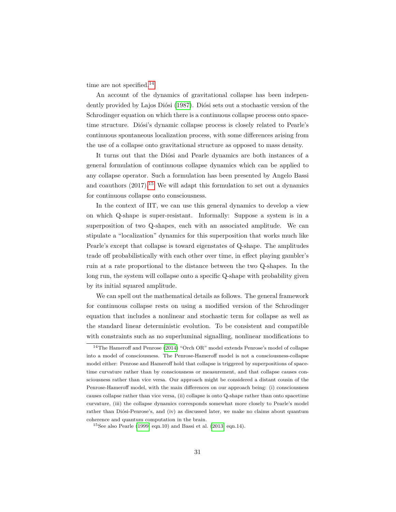time are not specified.<sup>[14](#page-0-0)</sup>

An account of the dynamics of gravitational collapse has been indepen-dently provided by Lajos Diósi [\(1987\)](#page-55-12). Diósi sets out a stochastic version of the Schrodinger equation on which there is a continuous collapse process onto spacetime structure. Diósi's dynamic collapse process is closely related to Pearle's continuous spontaneous localization process, with some differences arising from the use of a collapse onto gravitational structure as opposed to mass density.

It turns out that the Diósi and Pearle dynamics are both instances of a general formulation of continuous collapse dynamics which can be applied to any collapse operator. Such a formulation has been presented by Angelo Bassi and coauthors  $(2017).^{15}$  $(2017).^{15}$  $(2017).^{15}$  We will adapt this formulation to set out a dynamics for continuous collapse onto consciousness.

In the context of IIT, we can use this general dynamics to develop a view on which Q-shape is super-resistant. Informally: Suppose a system is in a superposition of two Q-shapes, each with an associated amplitude. We can stipulate a "localization" dynamics for this superposition that works much like Pearle's except that collapse is toward eigenstates of Q-shape. The amplitudes trade off probabilistically with each other over time, in effect playing gambler's ruin at a rate proportional to the distance between the two Q-shapes. In the long run, the system will collapse onto a specific Q-shape with probability given by its initial squared amplitude.

We can spell out the mathematical details as follows. The general framework for continuous collapse rests on using a modified version of the Schrodinger equation that includes a nonlinear and stochastic term for collapse as well as the standard linear deterministic evolution. To be consistent and compatible with constraints such as no superluminal signalling, nonlinear modifications to

<sup>14</sup>The Hameroff and Penrose [\(2014\)](#page-56-12) "Orch OR" model extends Penrose's model of collapse into a model of consciousness. The Penrose-Hameroff model is not a consciousness-collapse model either: Penrose and Hameroff hold that collapse is triggered by superpositions of spacetime curvature rather than by consciousness or measurement, and that collapse causes consciousness rather than vice versa. Our approach might be considered a distant cousin of the Penrose-Hameroff model, with the main differences on our approach being: (i) consciousness causes collapse rather than vice versa, (ii) collapse is onto Q-shape rather than onto spacetime curvature, (iii) the collapse dynamics corresponds somewhat more closely to Pearle's model rather than Diósi-Penrose's, and (iv) as discussed later, we make no claims about quantum coherence and quantum computation in the brain.

 $15$ See also Pearle [\(1999,](#page-57-7) eqn.10) and Bassi et al. [\(2013,](#page-54-2) eqn.14).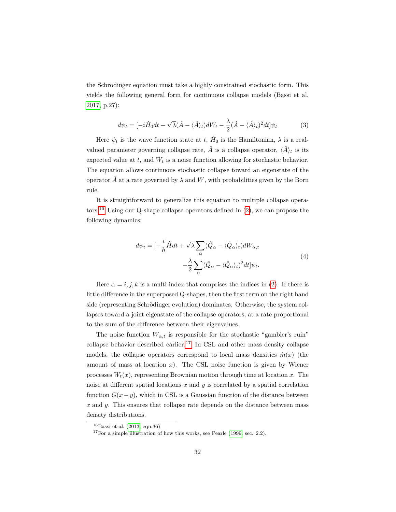the Schrodinger equation must take a highly constrained stochastic form. This yields the following general form for continuous collapse models (Bassi et al. [2017,](#page-54-7) p.27):

$$
d\psi_t = [-i\hat{H}_0 dt + \sqrt{\lambda}(\hat{A} - \langle \hat{A} \rangle_t) dW_t - \frac{\lambda}{2}(\hat{A} - \langle \hat{A} \rangle_t)^2 dt] \psi_t \tag{3}
$$

Here  $\psi_t$  is the wave function state at *t*,  $\hat{H}_0$  is the Hamiltonian,  $\lambda$  is a realvalued parameter governing collapse rate,  $\hat{A}$  is a collapse operator,  $\langle \hat{A} \rangle_t$  is its expected value at *t*, and *W<sup>t</sup>* is a noise function allowing for stochastic behavior. The equation allows continuous stochastic collapse toward an eigenstate of the operator  $\hat{A}$  at a rate governed by  $\lambda$  and W, with probabilities given by the Born rule.

<span id="page-31-0"></span>It is straightforward to generalize this equation to multiple collapse opera-tors.<sup>[16](#page-0-0)</sup> Using our Q-shape collapse operators defined in  $(2)$ , we can propose the following dynamics:

$$
d\psi_t = \left[-\frac{i}{\hbar}\hat{H}dt + \sqrt{\lambda}\sum_{\alpha}(\hat{Q}_{\alpha} - \langle \hat{Q}_{\alpha} \rangle_t)dW_{\alpha,t}\right.\left.-\frac{\lambda}{2}\sum_{\alpha}(\hat{Q}_{\alpha} - \langle \hat{Q}_{\alpha} \rangle_t)^2dt\right]\psi_t.
$$
\n(4)

Here  $\alpha = i, j, k$  is a multi-index that comprises the indices in [\(2\)](#page-27-0). If there is little difference in the superposed Q-shapes, then the first term on the right hand side (representing Schrödinger evolution) dominates. Otherwise, the system collapses toward a joint eigenstate of the collapse operators, at a rate proportional to the sum of the difference between their eigenvalues.

The noise function  $W_{\alpha,t}$  is responsible for the stochastic "gambler's ruin" collapse behavior described earlier.<sup>[17](#page-0-0)</sup> In CSL and other mass density collapse models, the collapse operators correspond to local mass densities  $\hat{m}(x)$  (the amount of mass at location *x*). The CSL noise function is given by Wiener processes  $W_t(x)$ , representing Brownian motion through time at location *x*. The noise at different spatial locations  $x$  and  $y$  is correlated by a spatial correlation function  $G(x - y)$ , which in CSL is a Gaussian function of the distance between *x* and *y*. This ensures that collapse rate depends on the distance between mass density distributions.

 $16$ Bassi et al. [\(2013,](#page-54-2) eqn.36)

 $17$  For a simple illustration of how this works, see Pearle [\(1999,](#page-57-7) sec. 2.2).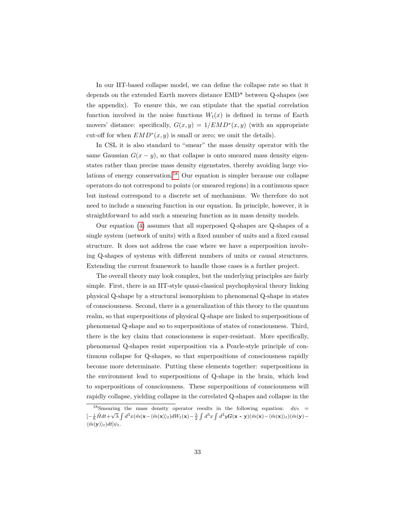In our IIT-based collapse model, we can define the collapse rate so that it depends on the extended Earth movers distance EMD\* between Q-shapes (see the appendix). To ensure this, we can stipulate that the spatial correlation function involved in the noise functions  $W_t(x)$  is defined in terms of Earth movers' distance: specifically,  $G(x, y) = 1/EMD^*(x, y)$  (with an appropriate cut-off for when  $EMD^*(x, y)$  is small or zero; we omit the details).

In CSL it is also standard to "smear" the mass density operator with the same Gaussian  $G(x - y)$ , so that collapse is onto smeared mass density eigenstates rather than precise mass density eigenstates, thereby avoiding large violations of energy conservation.[18](#page-0-0) Our equation is simpler because our collapse operators do not correspond to points (or smeared regions) in a continuous space but instead correspond to a discrete set of mechanisms. We therefore do not need to include a smearing function in our equation. In principle, however, it is straightforward to add such a smearing function as in mass density models.

Our equation [\(4\)](#page-31-0) assumes that all superposed Q-shapes are Q-shapes of a single system (network of units) with a fixed number of units and a fixed causal structure. It does not address the case where we have a superposition involving Q-shapes of systems with different numbers of units or causal structures. Extending the current framework to handle those cases is a further project.

The overall theory may look complex, but the underlying principles are fairly simple. First, there is an IIT-style quasi-classical psychophysical theory linking physical Q-shape by a structural isomorphism to phenomenal Q-shape in states of consciousness. Second, there is a generalization of this theory to the quantum realm, so that superpositions of physical Q-shape are linked to superpositions of phenomenal Q-shape and so to superpositions of states of consciousness. Third, there is the key claim that consciousness is super-resistant. More specifically, phenomenal Q-shapes resist superposition via a Pearle-style principle of continuous collapse for Q-shapes, so that superpositions of consciousness rapidly become more determinate. Putting these elements together: superpositions in the environment lead to superpositions of Q-shape in the brain, which lead to superpositions of consciousness. These superpositions of consciousness will rapidly collapse, yielding collapse in the correlated Q-shapes and collapse in the

<sup>&</sup>lt;sup>18</sup>Smearing the mass density operator results in the following equation:  $d\psi_t =$  $[-\frac{i}{\hbar}\hat{H}dt+\sqrt{\lambda}\int d^3x(\hat{m}(\mathbf{x}-\langle\hat{m}(\mathbf{x})\rangle_t)dW_t(\mathbf{x})-\frac{\lambda}{2}\int d^3x\int d^3y\mathbf{G}(\mathbf{x}-\mathbf{y})(\hat{m}(\mathbf{x})-\langle\hat{m}(\mathbf{x})\rangle_t)(\hat{m}(\mathbf{y})-\frac{\lambda}{2})$  $\langle \hat{m}(\mathbf{y}) \rangle_t) dt$  $|\psi_t$ .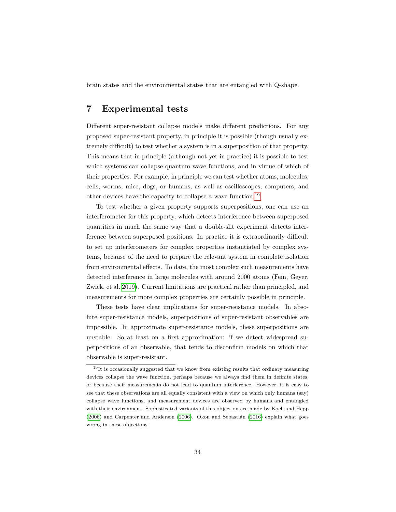brain states and the environmental states that are entangled with Q-shape.

## <span id="page-33-0"></span>**7 Experimental tests**

Different super-resistant collapse models make different predictions. For any proposed super-resistant property, in principle it is possible (though usually extremely difficult) to test whether a system is in a superposition of that property. This means that in principle (although not yet in practice) it is possible to test which systems can collapse quantum wave functions, and in virtue of which of their properties. For example, in principle we can test whether atoms, molecules, cells, worms, mice, dogs, or humans, as well as oscilloscopes, computers, and other devices have the capacity to collapse a wave function.[19](#page-0-0)

To test whether a given property supports superpositions, one can use an interferometer for this property, which detects interference between superposed quantities in much the same way that a double-slit experiment detects interference between superposed positions. In practice it is extraordinarily difficult to set up interferometers for complex properties instantiated by complex systems, because of the need to prepare the relevant system in complete isolation from environmental effects. To date, the most complex such measurements have detected interference in large molecules with around 2000 atoms (Fein, Geyer, Zwick, et al. [2019\)](#page-55-13). Current limitations are practical rather than principled, and measurements for more complex properties are certainly possible in principle.

These tests have clear implications for super-resistance models. In absolute super-resistance models, superpositions of super-resistant observables are impossible. In approximate super-resistance models, these superpositions are unstable. So at least on a first approximation: if we detect widespread superpositions of an observable, that tends to disconfirm models on which that observable is super-resistant.

<sup>&</sup>lt;sup>19</sup>It is occasionally suggested that we know from existing results that ordinary measuring devices collapse the wave function, perhaps because we always find them in definite states, or because their measurements do not lead to quantum interference. However, it is easy to see that these observations are all equally consistent with a view on which only humans (say) collapse wave functions, and measurement devices are observed by humans and entangled with their environment. Sophisticated variants of this objection are made by Koch and Hepp  $(2006)$  and Carpenter and Anderson  $(2006)$ . Okon and Sebastián  $(2016)$  explain what goes wrong in these objections.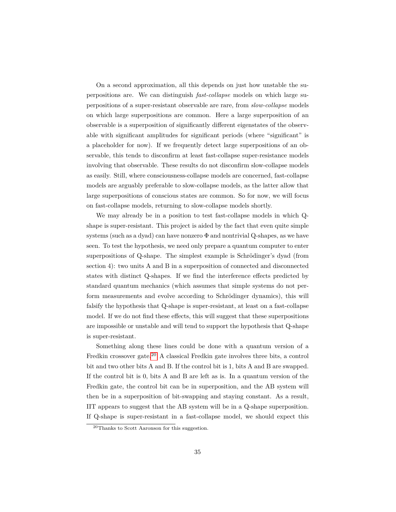On a second approximation, all this depends on just how unstable the superpositions are. We can distinguish *fast-collapse* models on which large superpositions of a super-resistant observable are rare, from *slow-collapse* models on which large superpositions are common. Here a large superposition of an observable is a superposition of significantly different eigenstates of the observable with significant amplitudes for significant periods (where "significant" is a placeholder for now). If we frequently detect large superpositions of an observable, this tends to disconfirm at least fast-collapse super-resistance models involving that observable. These results do not disconfirm slow-collapse models as easily. Still, where consciousness-collapse models are concerned, fast-collapse models are arguably preferable to slow-collapse models, as the latter allow that large superpositions of conscious states are common. So for now, we will focus on fast-collapse models, returning to slow-collapse models shortly.

We may already be in a position to test fast-collapse models in which Qshape is super-resistant. This project is aided by the fact that even quite simple systems (such as a dyad) can have nonzero  $\Phi$  and nontrivial Q-shapes, as we have seen. To test the hypothesis, we need only prepare a quantum computer to enter superpositions of Q-shape. The simplest example is Schrödinger's dyad (from section 4): two units A and B in a superposition of connected and disconnected states with distinct Q-shapes. If we find the interference effects predicted by standard quantum mechanics (which assumes that simple systems do not perform measurements and evolve according to Schrödinger dynamics), this will falsify the hypothesis that Q-shape is super-resistant, at least on a fast-collapse model. If we do not find these effects, this will suggest that these superpositions are impossible or unstable and will tend to support the hypothesis that Q-shape is super-resistant.

Something along these lines could be done with a quantum version of a Fredkin crossover gate.[20](#page-0-0) A classical Fredkin gate involves three bits, a control bit and two other bits A and B. If the control bit is 1, bits A and B are swapped. If the control bit is 0, bits A and B are left as is. In a quantum version of the Fredkin gate, the control bit can be in superposition, and the AB system will then be in a superposition of bit-swapping and staying constant. As a result, IIT appears to suggest that the AB system will be in a Q-shape superposition. If Q-shape is super-resistant in a fast-collapse model, we should expect this

<sup>20</sup>Thanks to Scott Aaronson for this suggestion.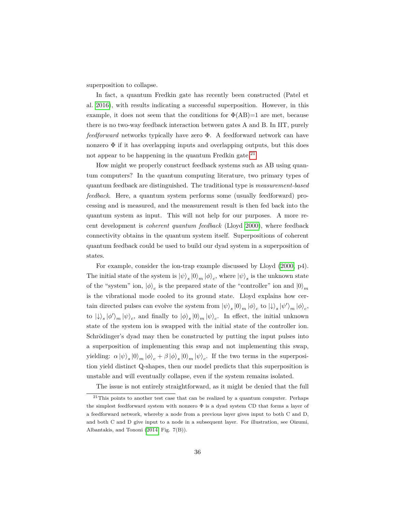superposition to collapse.

In fact, a quantum Fredkin gate has recently been constructed (Patel et al. [2016\)](#page-57-11), with results indicating a successful superposition. However, in this example, it does not seem that the conditions for  $\Phi(AB)=1$  are met, because there is no two-way feedback interaction between gates A and B. In IIT, purely *feedforward* networks typically have zero Φ. A feedforward network can have nonzero  $\Phi$  if it has overlapping inputs and overlapping outputs, but this does not appear to be happening in the quantum Fredkin gate. $^{21}$  $^{21}$  $^{21}$ 

How might we properly construct feedback systems such as AB using quantum computers? In the quantum computing literature, two primary types of quantum feedback are distinguished. The traditional type is *measurement-based feedback*. Here, a quantum system performs some (usually feedforward) processing and is measured, and the measurement result is then fed back into the quantum system as input. This will not help for our purposes. A more recent development is *coherent quantum feedback* (Lloyd [2000\)](#page-56-14), where feedback connectivity obtains in the quantum system itself. Superpositions of coherent quantum feedback could be used to build our dyad system in a superposition of states.

For example, consider the ion-trap example discussed by Lloyd [\(2000,](#page-56-14) p4). The initial state of the system is  $|\psi\rangle_s |0\rangle_m |\phi\rangle_c$ , where  $|\psi\rangle_s$  is the unknown state of the "system" ion,  $|\phi\rangle_c$  is the prepared state of the "controller" ion and  $|0\rangle_m$ is the vibrational mode cooled to its ground state. Lloyd explains how certain directed pulses can evolve the system from  $|\psi\rangle_s |0\rangle_m |\phi\rangle_c$  to  $| \downarrow\rangle_s | \psi'\rangle_m |\phi\rangle_c$ , to  $|\psi\rangle_s |\phi'\rangle_m |\psi\rangle_c$ , and finally to  $|\phi\rangle_s |0\rangle_m |\psi\rangle_c$ . In effect, the initial unknown state of the system ion is swapped with the initial state of the controller ion. Schrödinger's dyad may then be constructed by putting the input pulses into a superposition of implementing this swap and not implementing this swap, yielding:  $\alpha |\psi\rangle_s |0\rangle_m |\phi\rangle_c + \beta |\phi\rangle_s |0\rangle_m |\psi\rangle_c$ . If the two terms in the superposition yield distinct Q-shapes, then our model predicts that this superposition is unstable and will eventually collapse, even if the system remains isolated.

The issue is not entirely straightforward, as it might be denied that the full

 $21$ This points to another test case that can be realized by a quantum computer. Perhaps the simplest feedforward system with nonzero Φ is a dyad system CD that forms a layer of a feedforward network, whereby a node from a previous layer gives input to both C and D, and both C and D give input to a node in a subsequent layer. For illustration, see Oizumi, Albantakis, and Tononi [\(2014,](#page-57-5) Fig. 7(B)).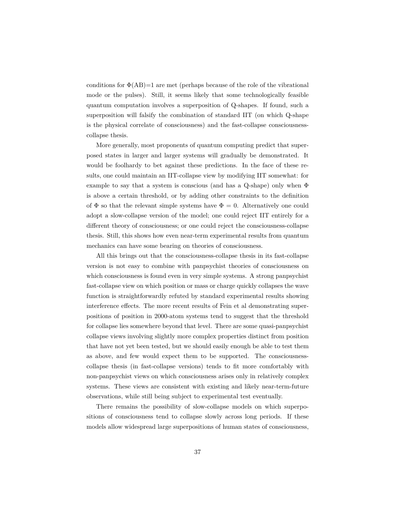conditions for  $\Phi(AB)=1$  are met (perhaps because of the role of the vibrational mode or the pulses). Still, it seems likely that some technologically feasible quantum computation involves a superposition of Q-shapes. If found, such a superposition will falsify the combination of standard IIT (on which Q-shape is the physical correlate of consciousness) and the fast-collapse consciousnesscollapse thesis.

More generally, most proponents of quantum computing predict that superposed states in larger and larger systems will gradually be demonstrated. It would be foolhardy to bet against these predictions. In the face of these results, one could maintain an IIT-collapse view by modifying IIT somewhat: for example to say that a system is conscious (and has a Q-shape) only when  $\Phi$ is above a certain threshold, or by adding other constraints to the definition of  $\Phi$  so that the relevant simple systems have  $\Phi = 0$ . Alternatively one could adopt a slow-collapse version of the model; one could reject IIT entirely for a different theory of consciousness; or one could reject the consciousness-collapse thesis. Still, this shows how even near-term experimental results from quantum mechanics can have some bearing on theories of consciousness.

All this brings out that the consciousness-collapse thesis in its fast-collapse version is not easy to combine with panpsychist theories of consciousness on which consciousness is found even in very simple systems. A strong panpsychist fast-collapse view on which position or mass or charge quickly collapses the wave function is straightforwardly refuted by standard experimental results showing interference effects. The more recent results of Fein et al demonstrating superpositions of position in 2000-atom systems tend to suggest that the threshold for collapse lies somewhere beyond that level. There are some quasi-panpsychist collapse views involving slightly more complex properties distinct from position that have not yet been tested, but we should easily enough be able to test them as above, and few would expect them to be supported. The consciousnesscollapse thesis (in fast-collapse versions) tends to fit more comfortably with non-panpsychist views on which consciousness arises only in relatively complex systems. These views are consistent with existing and likely near-term-future observations, while still being subject to experimental test eventually.

There remains the possibility of slow-collapse models on which superpositions of consciousness tend to collapse slowly across long periods. If these models allow widespread large superpositions of human states of consciousness,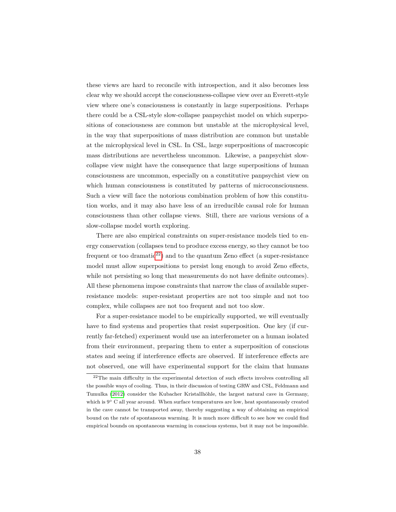these views are hard to reconcile with introspection, and it also becomes less clear why we should accept the consciousness-collapse view over an Everett-style view where one's consciousness is constantly in large superpositions. Perhaps there could be a CSL-style slow-collapse panpsychist model on which superpositions of consciousness are common but unstable at the microphysical level, in the way that superpositions of mass distribution are common but unstable at the microphysical level in CSL. In CSL, large superpositions of macroscopic mass distributions are nevertheless uncommon. Likewise, a panpsychist slowcollapse view might have the consequence that large superpositions of human consciousness are uncommon, especially on a constitutive panpsychist view on which human consciousness is constituted by patterns of microconsciousness. Such a view will face the notorious combination problem of how this constitution works, and it may also have less of an irreducible causal role for human consciousness than other collapse views. Still, there are various versions of a slow-collapse model worth exploring.

There are also empirical constraints on super-resistance models tied to energy conservation (collapses tend to produce excess energy, so they cannot be too frequent or too dramatic<sup>[22](#page-0-0)</sup>) and to the quantum Zeno effect (a super-resistance model must allow superpositions to persist long enough to avoid Zeno effects, while not persisting so long that measurements do not have definite outcomes). All these phenomena impose constraints that narrow the class of available superresistance models: super-resistant properties are not too simple and not too complex, while collapses are not too frequent and not too slow.

For a super-resistance model to be empirically supported, we will eventually have to find systems and properties that resist superposition. One key (if currently far-fetched) experiment would use an interferometer on a human isolated from their environment, preparing them to enter a superposition of conscious states and seeing if interference effects are observed. If interference effects are not observed, one will have experimental support for the claim that humans

 $^{22}$ The main difficulty in the experimental detection of such effects involves controlling all the possible ways of cooling. Thus, in their discussion of testing GRW and CSL, Feldmann and Tumulka [\(2012\)](#page-55-15) consider the Kubacher Kristallhöhle, the largest natural cave in Germany, which is 9◦ C all year around. When surface temperatures are low, heat spontaneously created in the cave cannot be transported away, thereby suggesting a way of obtaining an empirical bound on the rate of spontaneous warming. It is much more difficult to see how we could find empirical bounds on spontaneous warming in conscious systems, but it may not be impossible.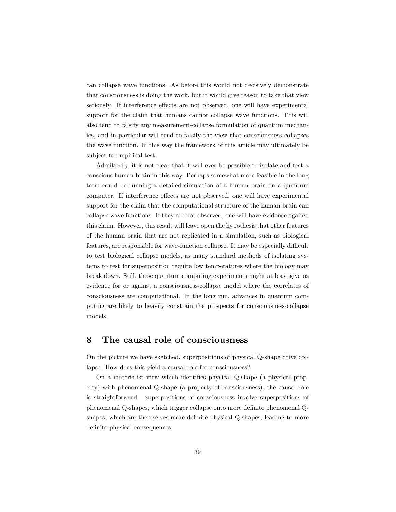can collapse wave functions. As before this would not decisively demonstrate that consciousness is doing the work, but it would give reason to take that view seriously. If interference effects are not observed, one will have experimental support for the claim that humans cannot collapse wave functions. This will also tend to falsify any measurement-collapse formulation of quantum mechanics, and in particular will tend to falsify the view that consciousness collapses the wave function. In this way the framework of this article may ultimately be subject to empirical test.

Admittedly, it is not clear that it will ever be possible to isolate and test a conscious human brain in this way. Perhaps somewhat more feasible in the long term could be running a detailed simulation of a human brain on a quantum computer. If interference effects are not observed, one will have experimental support for the claim that the computational structure of the human brain can collapse wave functions. If they are not observed, one will have evidence against this claim. However, this result will leave open the hypothesis that other features of the human brain that are not replicated in a simulation, such as biological features, are responsible for wave-function collapse. It may be especially difficult to test biological collapse models, as many standard methods of isolating systems to test for superposition require low temperatures where the biology may break down. Still, these quantum computing experiments might at least give us evidence for or against a consciousness-collapse model where the correlates of consciousness are computational. In the long run, advances in quantum computing are likely to heavily constrain the prospects for consciousness-collapse models.

#### <span id="page-38-0"></span>**8 The causal role of consciousness**

On the picture we have sketched, superpositions of physical Q-shape drive collapse. How does this yield a causal role for consciousness?

On a materialist view which identifies physical Q-shape (a physical property) with phenomenal Q-shape (a property of consciousness), the causal role is straightforward. Superpositions of consciousness involve superpositions of phenomenal Q-shapes, which trigger collapse onto more definite phenomenal Qshapes, which are themselves more definite physical Q-shapes, leading to more definite physical consequences.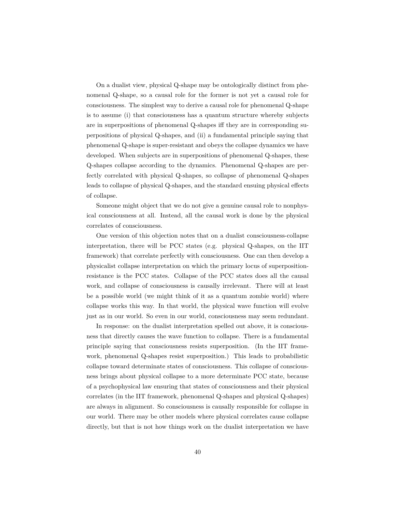On a dualist view, physical Q-shape may be ontologically distinct from phenomenal Q-shape, so a causal role for the former is not yet a causal role for consciousness. The simplest way to derive a causal role for phenomenal Q-shape is to assume (i) that consciousness has a quantum structure whereby subjects are in superpositions of phenomenal Q-shapes iff they are in corresponding superpositions of physical Q-shapes, and (ii) a fundamental principle saying that phenomenal Q-shape is super-resistant and obeys the collapse dynamics we have developed. When subjects are in superpositions of phenomenal Q-shapes, these Q-shapes collapse according to the dynamics. Phenomenal Q-shapes are perfectly correlated with physical Q-shapes, so collapse of phenomenal Q-shapes leads to collapse of physical Q-shapes, and the standard ensuing physical effects of collapse.

Someone might object that we do not give a genuine causal role to nonphysical consciousness at all. Instead, all the causal work is done by the physical correlates of consciousness.

One version of this objection notes that on a dualist consciousness-collapse interpretation, there will be PCC states (e.g. physical Q-shapes, on the IIT framework) that correlate perfectly with consciousness. One can then develop a physicalist collapse interpretation on which the primary locus of superpositionresistance is the PCC states. Collapse of the PCC states does all the causal work, and collapse of consciousness is causally irrelevant. There will at least be a possible world (we might think of it as a quantum zombie world) where collapse works this way. In that world, the physical wave function will evolve just as in our world. So even in our world, consciousness may seem redundant.

In response: on the dualist interpretation spelled out above, it is consciousness that directly causes the wave function to collapse. There is a fundamental principle saying that consciousness resists superposition. (In the IIT framework, phenomenal Q-shapes resist superposition.) This leads to probabilistic collapse toward determinate states of consciousness. This collapse of consciousness brings about physical collapse to a more determinate PCC state, because of a psychophysical law ensuring that states of consciousness and their physical correlates (in the IIT framework, phenomenal Q-shapes and physical Q-shapes) are always in alignment. So consciousness is causally responsible for collapse in our world. There may be other models where physical correlates cause collapse directly, but that is not how things work on the dualist interpretation we have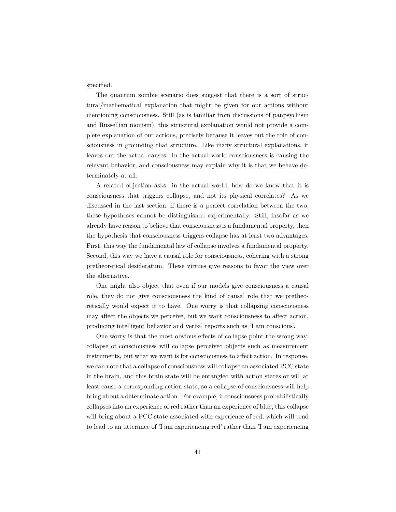specified.

The quantum zombie scenario does suggest that there is a sort of structural/mathematical explanation that might be given for our actions without mentioning consciousness. Still (as is familiar from discussions of panpsychism and Russellian monism), this structural explanation would not provide a complete explanation of our actions, precisely because it leaves out the role of consciousness in grounding that structure. Like many structural explanations, it leaves out the actual causes. In the actual world consciousness is causing the relevant behavior, and consciousness may explain why it is that we behave determinately at all.

A related objection asks: in the actual world, how do we know that it is consciousness that triggers collapse, and not its physical correlates? As we discussed in the last section, if there is a perfect correlation between the two, these hypotheses cannot be distinguished experimentally. Still, insofar as we already have reason to believe that consciousness is a fundamental property, then the hypothesis that consciousness triggers collapse has at least two advantages. First, this way the fundamental law of collapse involves a fundamental property. Second, this way we have a causal role for consciousness, cohering with a strong pretheoretical desideratum. These virtues give reasons to favor the view over the alternative.

One might also object that even if our models give consciousness a causal role, they do not give consciousness the kind of causal role that we pretheoretically would expect it to have. One worry is that collapsing consciousness may affect the objects we perceive, but we want consciousness to affect action, producing intelligent behavior and verbal reports such as 'I am conscious'.

One worry is that the most obvious effects of collapse point the wrong way: collapse of consciousness will collapse perceived objects such as measurement instruments, but what we want is for consciousness to affect action. In response, we can note that a collapse of consciousness will collapse an associated PCC state in the brain, and this brain state will be entangled with action states or will at least cause a corresponding action state, so a collapse of consciousness will help bring about a determinate action. For example, if consciousness probabilistically collapses into an experience of red rather than an experience of blue, this collapse will bring about a PCC state associated with experience of red, which will tend to lead to an utterance of 'I am experiencing red' rather than 'I am experiencing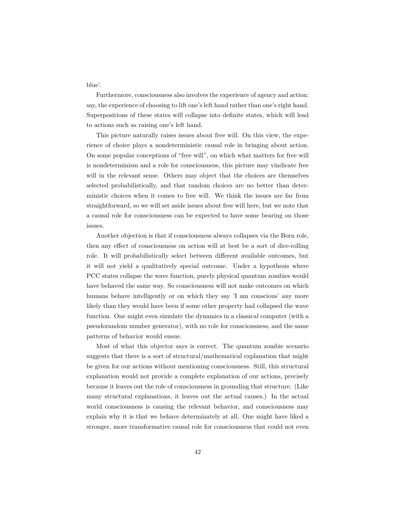blue'.

Furthermore, consciousness also involves the experience of agency and action: say, the experience of choosing to lift one's left hand rather than one's right hand. Superpositions of these states will collapse into definite states, which will lead to actions such as raising one's left hand.

This picture naturally raises issues about free will. On this view, the experience of choice plays a nondeterministic causal role in bringing about action. On some popular conceptions of "free will", on which what matters for free will is nondeterminism and a role for consciousness, this picture may vindicate free will in the relevant sense. Others may object that the choices are themselves selected probabilistically, and that random choices are no better than deterministic choices when it comes to free will. We think the issues are far from straightforward, so we will set aside issues about free will here, but we note that a causal role for consciousness can be expected to have some bearing on those issues.

Another objection is that if consciousness always collapses via the Born role, then any effect of consciousness on action will at best be a sort of dice-rolling role. It will probabilistically select between different available outcomes, but it will not yield a qualitatively special outcome. Under a hypothesis where PCC states collapse the wave function, purely physical quantum zombies would have behaved the same way. So consciousness will not make outcomes on which humans behave intelligently or on which they say 'I am conscious' any more likely than they would have been if some other property had collapsed the wave function. One might even simulate the dynamics in a classical computer (with a pseudorandom number generator), with no role for consciousness, and the same patterns of behavior would ensue.

Most of what this objector says is correct. The quantum zombie scenario suggests that there is a sort of structural/mathematical explanation that might be given for our actions without mentioning consciousness. Still, this structural explanation would not provide a complete explanation of our actions, precisely because it leaves out the role of consciousness in grounding that structure. (Like many structural explanations, it leaves out the actual causes.) In the actual world consciousness is causing the relevant behavior, and consciousness may explain why it is that we behave determinately at all. One might have liked a stronger, more transformative causal role for consciousness that could not even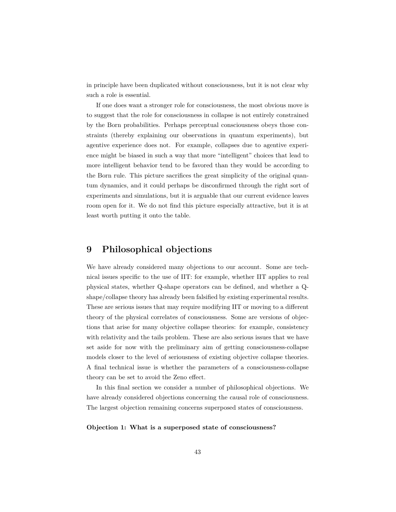in principle have been duplicated without consciousness, but it is not clear why such a role is essential.

If one does want a stronger role for consciousness, the most obvious move is to suggest that the role for consciousness in collapse is not entirely constrained by the Born probabilities. Perhaps perceptual consciousness obeys those constraints (thereby explaining our observations in quantum experiments), but agentive experience does not. For example, collapses due to agentive experience might be biased in such a way that more "intelligent" choices that lead to more intelligent behavior tend to be favored than they would be according to the Born rule. This picture sacrifices the great simplicity of the original quantum dynamics, and it could perhaps be disconfirmed through the right sort of experiments and simulations, but it is arguable that our current evidence leaves room open for it. We do not find this picture especially attractive, but it is at least worth putting it onto the table.

### <span id="page-42-0"></span>**9 Philosophical objections**

We have already considered many objections to our account. Some are technical issues specific to the use of IIT: for example, whether IIT applies to real physical states, whether Q-shape operators can be defined, and whether a Qshape/collapse theory has already been falsified by existing experimental results. These are serious issues that may require modifying IIT or moving to a different theory of the physical correlates of consciousness. Some are versions of objections that arise for many objective collapse theories: for example, consistency with relativity and the tails problem. These are also serious issues that we have set aside for now with the preliminary aim of getting consciousness-collapse models closer to the level of seriousness of existing objective collapse theories. A final technical issue is whether the parameters of a consciousness-collapse theory can be set to avoid the Zeno effect.

In this final section we consider a number of philosophical objections. We have already considered objections concerning the causal role of consciousness. The largest objection remaining concerns superposed states of consciousness.

#### **Objection 1: What is a superposed state of consciousness?**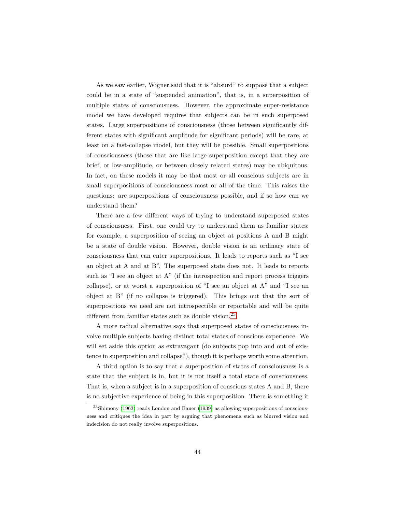As we saw earlier, Wigner said that it is "absurd" to suppose that a subject could be in a state of "suspended animation", that is, in a superposition of multiple states of consciousness. However, the approximate super-resistance model we have developed requires that subjects can be in such superposed states. Large superpositions of consciousness (those between significantly different states with significant amplitude for significant periods) will be rare, at least on a fast-collapse model, but they will be possible. Small superpositions of consciousness (those that are like large superposition except that they are brief, or low-amplitude, or between closely related states) may be ubiquitous. In fact, on these models it may be that most or all conscious subjects are in small superpositions of consciousness most or all of the time. This raises the questions: are superpositions of consciousness possible, and if so how can we understand them?

There are a few different ways of trying to understand superposed states of consciousness. First, one could try to understand them as familiar states: for example, a superposition of seeing an object at positions A and B might be a state of double vision. However, double vision is an ordinary state of consciousness that can enter superpositions. It leads to reports such as "I see an object at A and at B". The superposed state does not. It leads to reports such as "I see an object at A" (if the introspection and report process triggers collapse), or at worst a superposition of "I see an object at A" and "I see an object at B" (if no collapse is triggered). This brings out that the sort of superpositions we need are not introspectible or reportable and will be quite different from familiar states such as double vision.<sup>[23](#page-0-0)</sup>

A more radical alternative says that superposed states of consciousness involve multiple subjects having distinct total states of conscious experience. We will set aside this option as extravagant (do subjects pop into and out of existence in superposition and collapse?), though it is perhaps worth some attention.

A third option is to say that a superposition of states of consciousness is a state that the subject is in, but it is not itself a total state of consciousness. That is, when a subject is in a superposition of conscious states A and B, there is no subjective experience of being in this superposition. There is something it

<sup>23</sup>Shimony [\(1963\)](#page-58-10) reads London and Bauer [\(1939\)](#page-56-0) as allowing superpositions of consciousness and critiques the idea in part by arguing that phenomena such as blurred vision and indecision do not really involve superpositions.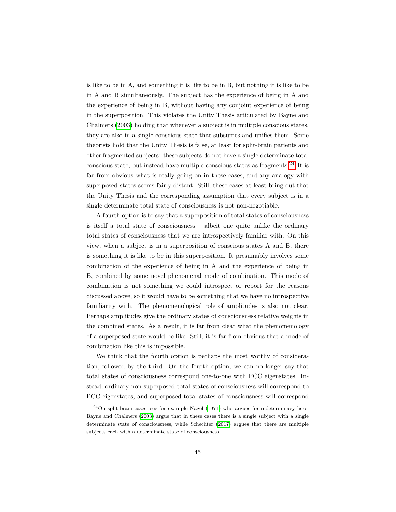is like to be in A, and something it is like to be in B, but nothing it is like to be in A and B simultaneously. The subject has the experience of being in A and the experience of being in B, without having any conjoint experience of being in the superposition. This violates the Unity Thesis articulated by Bayne and Chalmers [\(2003\)](#page-54-8) holding that whenever a subject is in multiple conscious states, they are also in a single conscious state that subsumes and unifies them. Some theorists hold that the Unity Thesis is false, at least for split-brain patients and other fragmented subjects: these subjects do not have a single determinate total conscious state, but instead have multiple conscious states as fragments.<sup>[24](#page-0-0)</sup> It is far from obvious what is really going on in these cases, and any analogy with superposed states seems fairly distant. Still, these cases at least bring out that the Unity Thesis and the corresponding assumption that every subject is in a single determinate total state of consciousness is not non-negotiable.

A fourth option is to say that a superposition of total states of consciousness is itself a total state of consciousness – albeit one quite unlike the ordinary total states of consciousness that we are introspectively familiar with. On this view, when a subject is in a superposition of conscious states A and B, there is something it is like to be in this superposition. It presumably involves some combination of the experience of being in A and the experience of being in B, combined by some novel phenomenal mode of combination. This mode of combination is not something we could introspect or report for the reasons discussed above, so it would have to be something that we have no introspective familiarity with. The phenomenological role of amplitudes is also not clear. Perhaps amplitudes give the ordinary states of consciousness relative weights in the combined states. As a result, it is far from clear what the phenomenology of a superposed state would be like. Still, it is far from obvious that a mode of combination like this is impossible.

We think that the fourth option is perhaps the most worthy of consideration, followed by the third. On the fourth option, we can no longer say that total states of consciousness correspond one-to-one with PCC eigenstates. Instead, ordinary non-superposed total states of consciousness will correspond to PCC eigenstates, and superposed total states of consciousness will correspond

<sup>24</sup>On split-brain cases, see for example Nagel [\(1971\)](#page-57-12) who argues for indeterminacy here. Bayne and Chalmers [\(2003\)](#page-54-8) argue that in these cases there is a single subject with a single determinate state of consciousness, while Schechter [\(2017\)](#page-57-13) argues that there are multiple subjects each with a determinate state of consciousness.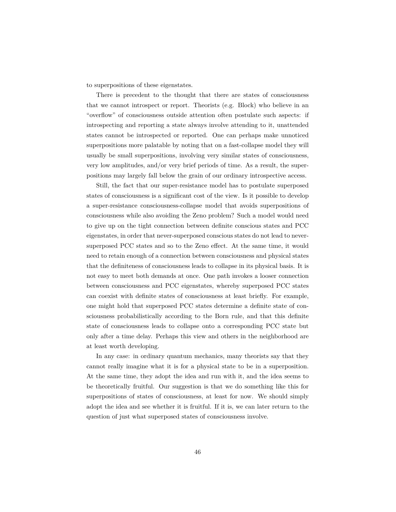to superpositions of these eigenstates.

There is precedent to the thought that there are states of consciousness that we cannot introspect or report. Theorists (e.g. Block) who believe in an "overflow" of consciousness outside attention often postulate such aspects: if introspecting and reporting a state always involve attending to it, unattended states cannot be introspected or reported. One can perhaps make unnoticed superpositions more palatable by noting that on a fast-collapse model they will usually be small superpositions, involving very similar states of consciousness, very low amplitudes, and/or very brief periods of time. As a result, the superpositions may largely fall below the grain of our ordinary introspective access.

Still, the fact that our super-resistance model has to postulate superposed states of consciousness is a significant cost of the view. Is it possible to develop a super-resistance consciousness-collapse model that avoids superpositions of consciousness while also avoiding the Zeno problem? Such a model would need to give up on the tight connection between definite conscious states and PCC eigenstates, in order that never-superposed conscious states do not lead to neversuperposed PCC states and so to the Zeno effect. At the same time, it would need to retain enough of a connection between consciousness and physical states that the definiteness of consciousness leads to collapse in its physical basis. It is not easy to meet both demands at once. One path invokes a looser connection between consciousness and PCC eigenstates, whereby superposed PCC states can coexist with definite states of consciousness at least briefly. For example, one might hold that superposed PCC states determine a definite state of consciousness probabilistically according to the Born rule, and that this definite state of consciousness leads to collapse onto a corresponding PCC state but only after a time delay. Perhaps this view and others in the neighborhood are at least worth developing.

In any case: in ordinary quantum mechanics, many theorists say that they cannot really imagine what it is for a physical state to be in a superposition. At the same time, they adopt the idea and run with it, and the idea seems to be theoretically fruitful. Our suggestion is that we do something like this for superpositions of states of consciousness, at least for now. We should simply adopt the idea and see whether it is fruitful. If it is, we can later return to the question of just what superposed states of consciousness involve.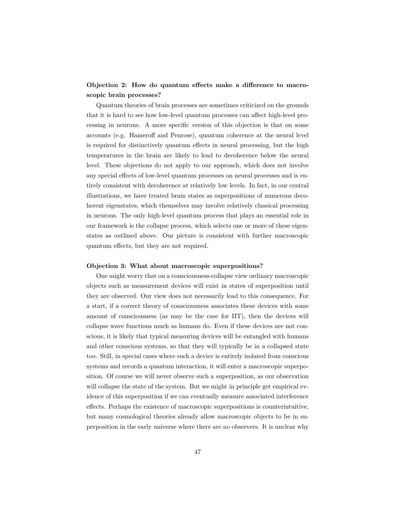#### **Objection 2: How do quantum effects make a difference to macroscopic brain processes?**

Quantum theories of brain processes are sometimes criticized on the grounds that it is hard to see how low-level quantum processes can affect high-level processing in neurons. A more specific version of this objection is that on some accounts (e.g. Hameroff and Penrose), quantum coherence at the neural level is required for distinctively quantum effects in neural processing, but the high temperatures in the brain are likely to lead to decoherence below the neural level. These objections do not apply to our approach, which does not involve any special effects of low-level quantum processes on neural processes and is entirely consistent with decoherence at relatively low levels. In fact, in our central illustrations, we have treated brain states as superpositions of numerous decoherent eigenstates, which themselves may involve relatively classical processing in neurons. The only high-level quantum process that plays an essential role in our framework is the collapse process, which selects one or more of these eigenstates as outlined above. Our picture is consistent with further macroscopic quantum effects, but they are not required.

#### **Objection 3: What about macroscopic superpositions?**

One might worry that on a consciousness-collapse view ordinary macroscopic objects such as measurement devices will exist in states of superposition until they are observed. Our view does not necessarily lead to this consequence. For a start, if a correct theory of consciousness associates these devices with some amount of consciousness (as may be the case for IIT), then the devices will collapse wave functions much as humans do. Even if these devices are not conscious, it is likely that typical measuring devices will be entangled with humans and other conscious systems, so that they will typically be in a collapsed state too. Still, in special cases where such a device is entirely isolated from conscious systems and records a quantum interaction, it will enter a macroscopic superposition. Of course we will never observe such a superposition, as our observation will collapse the state of the system. But we might in principle get empirical evidence of this superposition if we can eventually measure associated interference effects. Perhaps the existence of macroscopic superpositions is counterintuitive, but many cosmological theories already allow macroscopic objects to be in superposition in the early universe where there are no observers. It is unclear why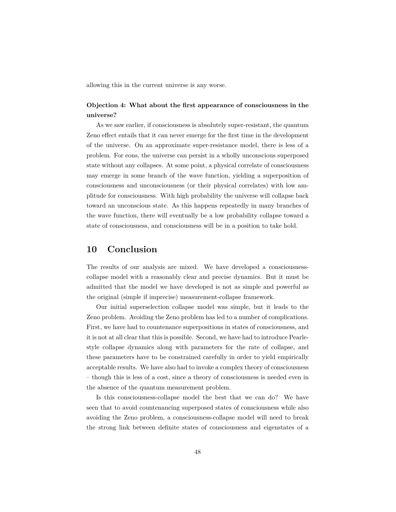allowing this in the current universe is any worse.

#### **Objection 4: What about the first appearance of consciousness in the universe?**

As we saw earlier, if consciousness is absolutely super-resistant, the quantum Zeno effect entails that it can never emerge for the first time in the development of the universe. On an approximate super-resistance model, there is less of a problem. For eons, the universe can persist in a wholly unconscious superposed state without any collapses. At some point, a physical correlate of consciousness may emerge in some branch of the wave function, yielding a superposition of consciousness and unconsciousness (or their physical correlates) with low amplitude for consciousness. With high probability the universe will collapse back toward an unconscious state. As this happens repeatedly in many branches of the wave function, there will eventually be a low probability collapse toward a state of consciousness, and consciousness will be in a position to take hold.

#### <span id="page-47-0"></span>**10 Conclusion**

The results of our analysis are mixed. We have developed a consciousnesscollapse model with a reasonably clear and precise dynamics. But it must be admitted that the model we have developed is not as simple and powerful as the original (simple if imprecise) measurement-collapse framework.

Our initial superselection collapse model was simple, but it leads to the Zeno problem. Avoiding the Zeno problem has led to a number of complications. First, we have had to countenance superpositions in states of consciousness, and it is not at all clear that this is possible. Second, we have had to introduce Pearlestyle collapse dynamics along with parameters for the rate of collapse, and these parameters have to be constrained carefully in order to yield empirically acceptable results. We have also had to invoke a complex theory of consciousness – though this is less of a cost, since a theory of consciousness is needed even in the absence of the quantum measurement problem.

Is this consciousness-collapse model the best that we can do? We have seen that to avoid countenancing superposed states of consciousness while also avoiding the Zeno problem, a consciousness-collapse model will need to break the strong link between definite states of consciousness and eigenstates of a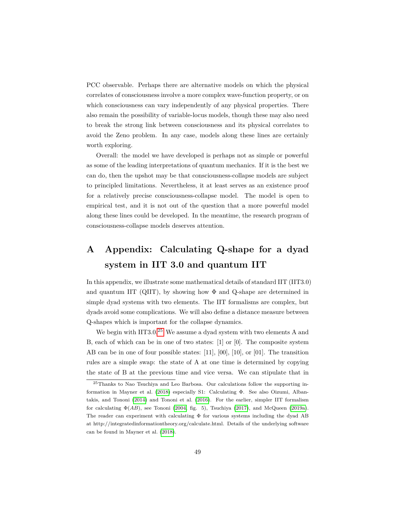PCC observable. Perhaps there are alternative models on which the physical correlates of consciousness involve a more complex wave-function property, or on which consciousness can vary independently of any physical properties. There also remain the possibility of variable-locus models, though these may also need to break the strong link between consciousness and its physical correlates to avoid the Zeno problem. In any case, models along these lines are certainly worth exploring.

Overall: the model we have developed is perhaps not as simple or powerful as some of the leading interpretations of quantum mechanics. If it is the best we can do, then the upshot may be that consciousness-collapse models are subject to principled limitations. Nevertheless, it at least serves as an existence proof for a relatively precise consciousness-collapse model. The model is open to empirical test, and it is not out of the question that a more powerful model along these lines could be developed. In the meantime, the research program of consciousness-collapse models deserves attention.

## <span id="page-48-0"></span>**A Appendix: Calculating Q-shape for a dyad system in IIT 3.0 and quantum IIT**

In this appendix, we illustrate some mathematical details of standard IIT (IIT3.0) and quantum IIT (QIIT), by showing how  $\Phi$  and Q-shape are determined in simple dyad systems with two elements. The IIT formalisms are complex, but dyads avoid some complications. We will also define a distance measure between Q-shapes which is important for the collapse dynamics.

We begin with IIT3.0<sup>[25](#page-0-0)</sup> We assume a dyad system with two elements A and B, each of which can be in one of two states: [1] or [0]. The composite system AB can be in one of four possible states: [11], [00], [10], or [01]. The transition rules are a simple swap: the state of A at one time is determined by copying the state of B at the previous time and vice versa. We can stipulate that in

<sup>25</sup>Thanks to Nao Tsuchiya and Leo Barbosa. Our calculations follow the supporting information in Mayner et al. [\(2018\)](#page-57-14) especially S1: Calculating Φ. See also Oizumi, Albantakis, and Tononi [\(2014\)](#page-57-5) and Tononi et al. [\(2016\)](#page-58-11). For the earlier, simpler IIT formalism for calculating  $\Phi(AB)$ , see Tononi [\(2004,](#page-58-12) fig. 5), Tsuchiya [\(2017\)](#page-58-13), and McQueen [\(2019a\)](#page-57-15). The reader can experiment with calculating  $\Phi$  for various systems including the dyad AB at http://integratedinformationtheory.org/calculate.html. Details of the underlying software can be found in Mayner et al. [\(2018\)](#page-57-14).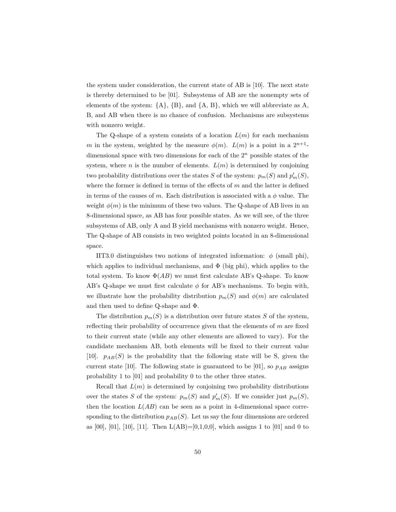the system under consideration, the current state of AB is [10]. The next state is thereby determined to be [01]. Subsystems of AB are the nonempty sets of elements of the system:  ${A}, {B},$  and  ${A}, B$ , which we will abbreviate as A, B, and AB when there is no chance of confusion. Mechanisms are subsystems with nonzero weight.

The Q-shape of a system consists of a location  $L(m)$  for each mechanism *m* in the system, weighted by the measure  $\phi(m)$ .  $L(m)$  is a point in a  $2^{n+1}$ dimensional space with two dimensions for each of the 2*<sup>n</sup>* possible states of the system, where *n* is the number of elements.  $L(m)$  is determined by conjoining two probability distributions over the states *S* of the system:  $p_m(S)$  and  $p'_m(S)$ , where the former is defined in terms of the effects of *m* and the latter is defined in terms of the causes of *m*. Each distribution is associated with a  $\phi$  value. The weight  $\phi(m)$  is the minimum of these two values. The Q-shape of AB lives in an 8-dimensional space, as AB has four possible states. As we will see, of the three subsystems of AB, only A and B yield mechanisms with nonzero weight. Hence, The Q-shape of AB consists in two weighted points located in an 8-dimensional space.

IIT3.0 distinguishes two notions of integrated information:  $\phi$  (small phi), which applies to individual mechanisms, and  $\Phi$  (big phi), which applies to the total system. To know  $\Phi(AB)$  we must first calculate AB's Q-shape. To know AB's Q-shape we must first calculate *φ* for AB's mechanisms. To begin with, we illustrate how the probability distribution  $p_m(S)$  and  $\phi(m)$  are calculated and then used to define Q-shape and Φ.

The distribution  $p_m(S)$  is a distribution over future states *S* of the system, reflecting their probability of occurrence given that the elements of *m* are fixed to their current state (while any other elements are allowed to vary). For the candidate mechanism AB, both elements will be fixed to their current value [10].  $p_{AB}(S)$  is the probability that the following state will be S, given the current state [10]. The following state is guaranteed to be [01], so  $p_{AB}$  assigns probability 1 to [01] and probability 0 to the other three states.

Recall that  $L(m)$  is determined by conjoining two probability distributions over the states *S* of the system:  $p_m(S)$  and  $p'_m(S)$ . If we consider just  $p_m(S)$ , then the location  $L(AB)$  can be seen as a point in 4-dimensional space corresponding to the distribution  $p_{AB}(S)$ . Let us say the four dimensions are ordered as  $[00]$ ,  $[01]$ ,  $[10]$ ,  $[11]$ . Then  $L(AB)=[0,1,0,0]$ , which assigns 1 to  $[01]$  and 0 to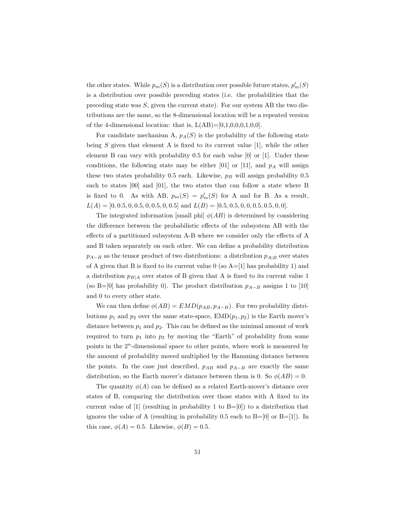the other states. While  $p_m(S)$  is a distribution over possible future states,  $p'_m(S)$ is a distribution over possible preceding states (i.e. the probabilities that the preceding state was *S*, given the current state). For our system AB the two distributions are the same, so the 8-dimensional location will be a repeated version of the 4-dimensional location: that is,  $L(AB)=[0,1,0,0,0,1,0,0].$ 

For candidate mechanism A,  $p_A(S)$  is the probability of the following state being *S* given that element A is fixed to its current value [1], while the other element B can vary with probability 0.5 for each value [0] or [1]. Under these conditions, the following state may be either  $[01]$  or  $[11]$ , and  $p_A$  will assign these two states probability 0.5 each. Likewise, *p<sup>B</sup>* will assign probability 0.5 each to states [00] and [01], the two states that can follow a state where B is fixed to 0. As with AB,  $p_m(S) = p'_m(S)$  for A and for B. As a result,  $L(A) = [0, 0.5, 0, 0.5, 0, 0.5, 0, 0.5]$  and  $L(B) = [0.5, 0.5, 0, 0, 0.5, 0.5, 0, 0].$ 

The integrated information [small phi]  $\phi(AB)$  is determined by considering the difference between the probabilistic effects of the subsystem AB with the effects of a partitioned subsystem A-B where we consider only the effects of A and B taken separately on each other. We can define a probability distribution  $p_{A-B}$  as the tensor product of two distributions: a distribution  $p_{A|B}$  over states of A given that B is fixed to its current value  $0$  (so  $A=[1]$  has probability 1) and a distribution  $p_{B|A}$  over states of B given that A is fixed to its current value 1 (so B=[0] has probability 0). The product distribution  $p_{A-B}$  assigns 1 to [10] and 0 to every other state.

We can then define  $\phi(AB) = EMD(p_{AB}, p_{A-B})$ . For two probability distributions  $p_1$  and  $p_2$  over the same state-space,  $\text{EMD}(p_1, p_2)$  is the Earth mover's distance between  $p_1$  and  $p_2$ . This can be defined as the minimal amount of work required to turn  $p_1$  into  $p_2$  by moving the "Earth" of probability from some points in the 2*<sup>n</sup>*-dimensional space to other points, where work is measured by the amount of probability moved multiplied by the Hamming distance between the points. In the case just described,  $p_{AB}$  and  $p_{A-B}$  are exactly the same distribution, so the Earth mover's distance between them is 0. So  $\phi(AB) = 0$ .

The quantity  $\phi(A)$  can be defined as a related Earth-mover's distance over states of B, comparing the distribution over those states with A fixed to its current value of  $[1]$  (resulting in probability 1 to  $B=[0]$ ) to a distribution that ignores the value of A (resulting in probability 0.5 each to  $B=[0]$  or  $B=[1]$ ). In this case,  $\phi(A) = 0.5$ . Likewise,  $\phi(B) = 0.5$ .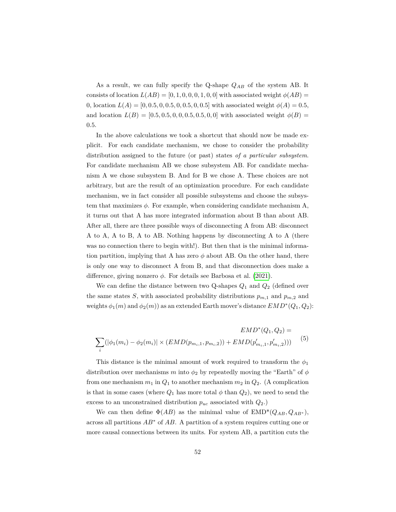As a result, we can fully specify the Q-shape *QAB* of the system AB. It consists of location  $L(AB) = [0, 1, 0, 0, 0, 1, 0, 0]$  with associated weight  $\phi(AB) =$ 0, location  $L(A) = [0, 0.5, 0, 0.5, 0, 0.5, 0, 0.5]$  with associated weight  $\phi(A) = 0.5$ , and location  $L(B) = [0.5, 0.5, 0, 0, 0.5, 0.5, 0, 0]$  with associated weight  $\phi(B) =$ 0*.*5.

In the above calculations we took a shortcut that should now be made explicit. For each candidate mechanism, we chose to consider the probability distribution assigned to the future (or past) states *of a particular subsystem*. For candidate mechanism AB we chose subsystem AB. For candidate mechanism A we chose subsystem B. And for B we chose A. These choices are not arbitrary, but are the result of an optimization procedure. For each candidate mechanism, we in fact consider all possible subsystems and choose the subsystem that maximizes  $\phi$ . For example, when considering candidate mechanism A, it turns out that A has more integrated information about B than about AB. After all, there are three possible ways of disconnecting A from AB: disconnect A to A, A to B, A to AB. Nothing happens by disconnecting A to A (there was no connection there to begin with!). But then that is the minimal information partition, implying that A has zero  $\phi$  about AB. On the other hand, there is only one way to disconnect A from B, and that disconnection does make a difference, giving nonzero *φ*. For details see Barbosa et al. [\(2021\)](#page-54-9).

We can define the distance between two Q-shapes  $Q_1$  and  $Q_2$  (defined over the same states *S*, with associated probability distributions  $p_{m,1}$  and  $p_{m,2}$  and weights  $\phi_1(m)$  and  $\phi_2(m)$ ) as an extended Earth mover's distance  $EMD^*(Q_1, Q_2)$ :

$$
EMD^*(Q_1, Q_2) =
$$
  

$$
\sum_{i} (|\phi_1(m_i) - \phi_2(m_i)| \times (EMD(p_{m_i, 1}, p_{m_i, 2})) + EMD(p'_{m_i, 1}, p'_{m_i, 2})))
$$
 (5)

This distance is the minimal amount of work required to transform the  $\phi_1$ distribution over mechanisms *m* into  $\phi_2$  by repeatedly moving the "Earth" of  $\phi$ from one mechanism  $m_1$  in  $Q_1$  to another mechanism  $m_2$  in  $Q_2$ . (A complication is that in some cases (where  $Q_1$  has more total  $\phi$  than  $Q_2$ ), we need to send the excess to an unconstrained distribution  $p_{uc}$  associated with  $Q_2$ .)

We can then define  $\Phi(AB)$  as the minimal value of  $\text{EMD}^*(Q_{AB}, Q_{AB^*}),$ across all partitions *AB*<sup>∗</sup> of *AB*. A partition of a system requires cutting one or more causal connections between its units. For system AB, a partition cuts the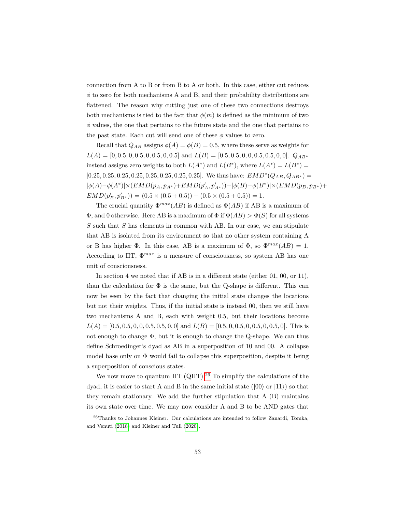connection from A to B or from B to A or both. In this case, either cut reduces  $\phi$  to zero for both mechanisms A and B, and their probability distributions are flattened. The reason why cutting just one of these two connections destroys both mechanisms is tied to the fact that  $\phi(m)$  is defined as the minimum of two *φ* values, the one that pertains to the future state and the one that pertains to the past state. Each cut will send one of these  $\phi$  values to zero.

Recall that  $Q_{AB}$  assigns  $\phi(A) = \phi(B) = 0.5$ , where these serve as weights for  $L(A) = [0, 0.5, 0, 0.5, 0, 0.5, 0, 0.5]$  and  $L(B) = [0.5, 0.5, 0, 0, 0.5, 0.5, 0, 0].$   $Q_{AB^*}$ instead assigns zero weights to both  $L(A^*)$  and  $L(B^*)$ , where  $L(A^*) = L(B^*) =$  $[0.25, 0.25, 0.25, 0.25, 0.25, 0.25, 0.25, 0.25]$ . We thus have:  $EMD^*(Q_{AB}, Q_{AB^*})$  =  $|\phi(A)-\phi(A^*)|\times (EMD(p_A,p_{A^*})+EMD(p'_A,p'_{A^*})) + |\phi(B)-\phi(B^*)|\times (EMD(p_B,p_{B^*})+$  $EMD(p'_B, p'_{B^*})$  = (0*.*5 × (0*.*5 + 0*.*5)) + (0*.5* × (0*.5* + 0*.5*)) = 1.

The crucial quantity  $\Phi^{max}(AB)$  is defined as  $\Phi(AB)$  if AB is a maximum of  $\Phi$ , and 0 otherwise. Here AB is a maximum of  $\Phi$  if  $\Phi(AB) > \Phi(S)$  for all systems *S* such that *S* has elements in common with AB. In our case, we can stipulate that AB is isolated from its environment so that no other system containing A or B has higher  $\Phi$ . In this case, AB is a maximum of  $\Phi$ , so  $\Phi^{max}(AB) = 1$ . According to IIT,  $\Phi^{max}$  is a measure of consciousness, so system AB has one unit of consciousness.

In section 4 we noted that if AB is in a different state (either 01, 00, or 11), than the calculation for  $\Phi$  is the same, but the Q-shape is different. This can now be seen by the fact that changing the initial state changes the locations but not their weights. Thus, if the initial state is instead 00, then we still have two mechanisms A and B, each with weight 0.5, but their locations become  $L(A) = [0.5, 0.5, 0, 0, 0.5, 0.5, 0, 0]$  and  $L(B) = [0.5, 0, 0.5, 0, 0.5, 0, 0.5, 0]$ . This is not enough to change Φ, but it is enough to change the Q-shape. We can thus define Schroedinger's dyad as AB in a superposition of 10 and 00. A collapse model base only on  $\Phi$  would fail to collapse this superposition, despite it being a superposition of conscious states.

We now move to quantum IIT (QIIT).<sup>[26](#page-0-0)</sup> To simplify the calculations of the dyad, it is easier to start A and B in the same initial state ( $|00\rangle$  or  $|11\rangle$ ) so that they remain stationary. We add the further stipulation that  $A(B)$  maintains its own state over time. We may now consider A and B to be AND gates that

<sup>26</sup>Thanks to Johannes Kleiner. Our calculations are intended to follow Zanardi, Tomka, and Venuti [\(2018\)](#page-58-9) and Kleiner and Tull [\(2020\)](#page-56-11).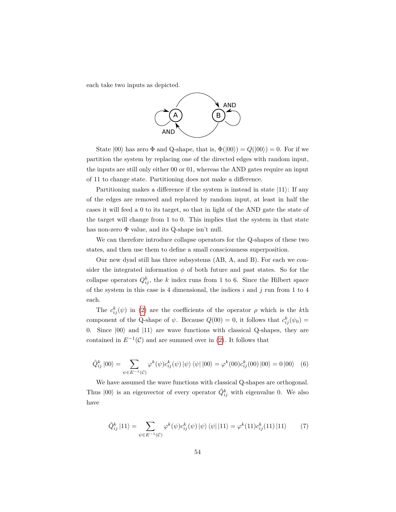each take two inputs as depicted.



State  $|00\rangle$  has zero  $\Phi$  and Q-shape, that is,  $\Phi(|00\rangle) = Q(|00\rangle) = 0$ . For if we partition the system by replacing one of the directed edges with random input, the inputs are still only either 00 or 01, whereas the AND gates require an input of 11 to change state. Partitioning does not make a difference.

Partitioning makes a difference if the system is instead in state  $|11\rangle$ : If any of the edges are removed and replaced by random input, at least in half the cases it will feed a 0 to its target, so that in light of the AND gate the state of the target will change from 1 to 0. This implies that the system in that state has non-zero  $\Phi$  value, and its Q-shape isn't null.

We can therefore introduce collapse operators for the Q-shapes of these two states, and then use them to define a small consciousness superposition.

Our new dyad still has three subsystems (AB, A, and B). For each we consider the integrated information  $\phi$  of both future and past states. So for the collapse operators  $Q_{ij}^k$ , the *k* index runs from 1 to 6. Since the Hilbert space of the system in this case is 4 dimensional, the indices *i* and *j* run from 1 to 4 each.

The  $c_{ij}^k(\psi)$  in [\(2\)](#page-27-0) are the coefficients of the operator  $\rho$  which is the *k*th component of the Q-shape of  $\psi$ . Because  $Q(00) = 0$ , it follows that  $c_{ij}^k(\psi_0) =$ 0. Since  $|00\rangle$  and  $|11\rangle$  are wave functions with classical Q-shapes, they are contained in  $E^{-1}(\mathcal{C})$  and are summed over in [\(2\)](#page-27-0). It follows that

$$
\hat{Q}_{ij}^{k} |00\rangle = \sum_{\psi \in E^{-1}(\mathcal{C})} \varphi^{k}(\psi) c_{ij}^{k}(\psi) | \psi \rangle \langle \psi | |00\rangle = \varphi^{k}(00) c_{ij}^{k}(00) |00\rangle = 0 |00\rangle \quad (6)
$$

We have assumed the wave functions with classical Q-shapes are orthogonal. Thus  $|00\rangle$  is an eigenvector of every operator  $\hat{Q}_{ij}^k$  with eigenvalue 0. We also have

$$
\hat{Q}_{ij}^{k} |11\rangle = \sum_{\psi \in E^{-1}(\mathcal{C})} \varphi^{k}(\psi) c_{ij}^{k}(\psi) |\psi\rangle \langle \psi| |11\rangle = \varphi^{k} (11) c_{ij}^{k} (11) |11\rangle \tag{7}
$$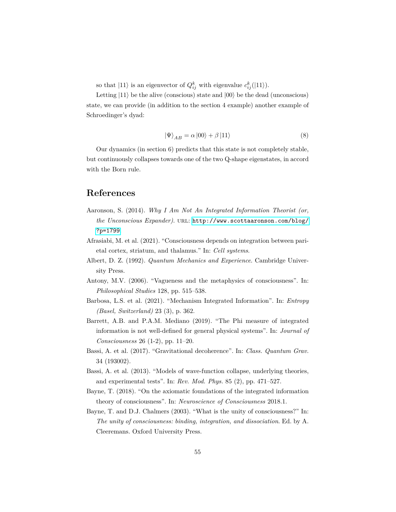so that  $|11\rangle$  is an eigenvector of  $Q_{ij}^k$  with eigenvalue  $c_{ij}^k(|11\rangle)$ .

Letting  $|11\rangle$  be the alive (conscious) state and  $|00\rangle$  be the dead (unconscious) state, we can provide (in addition to the section 4 example) another example of Schroedinger's dyad:

$$
\left|\Psi\right\rangle_{AB} = \alpha \left|00\right\rangle + \beta \left|11\right\rangle \tag{8}
$$

Our dynamics (in section 6) predicts that this state is not completely stable, but continuously collapses towards one of the two Q-shape eigenstates, in accord with the Born rule.

#### **References**

- <span id="page-54-3"></span>Aaronson, S. (2014). *Why I Am Not An Integrated Information Theorist (or, the Unconscious Expander)*. url: [http://www.scottaaronson.com/blog/](http://www.scottaaronson.com/blog/?p=1799) [?p=1799](http://www.scottaaronson.com/blog/?p=1799).
- <span id="page-54-6"></span>Afrasiabi, M. et al. (2021). "Consciousness depends on integration between parietal cortex, striatum, and thalamus." In: *Cell systems*.
- <span id="page-54-0"></span>Albert, D. Z. (1992). *Quantum Mechanics and Experience*. Cambridge University Press.
- <span id="page-54-1"></span>Antony, M.V. (2006). "Vagueness and the metaphysics of consciousness". In: *Philosophical Studies* 128, pp. 515–538.
- <span id="page-54-9"></span>Barbosa, L.S. et al. (2021). "Mechanism Integrated Information". In: *Entropy (Basel, Switzerland)* 23 (3), p. 362.
- <span id="page-54-5"></span>Barrett, A.B. and P.A.M. Mediano (2019). "The Phi measure of integrated information is not well-defined for general physical systems". In: *Journal of Consciousness* 26 (1-2), pp. 11–20.
- <span id="page-54-7"></span>Bassi, A. et al. (2017). "Gravitational decoherence". In: *Class. Quantum Grav.* 34 (193002).
- <span id="page-54-2"></span>Bassi, A. et al. (2013). "Models of wave-function collapse, underlying theories, and experimental tests". In: *Rev. Mod. Phys.* 85 (2), pp. 471–527.
- <span id="page-54-4"></span>Bayne, T. (2018). "On the axiomatic foundations of the integrated information theory of consciousness". In: *Neuroscience of Consciousness* 2018.1.
- <span id="page-54-8"></span>Bayne, T. and D.J. Chalmers (2003). "What is the unity of consciousness?" In: *The unity of consciousness: binding, integration, and dissociation*. Ed. by A. Cleeremans. Oxford University Press.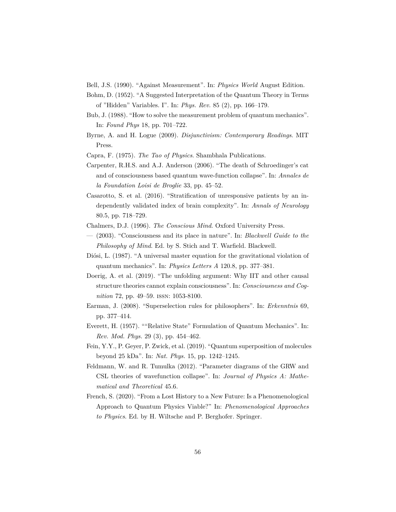- <span id="page-55-0"></span>Bell, J.S. (1990). "Against Measurement". In: *Physics World* August Edition.
- <span id="page-55-4"></span>Bohm, D. (1952). "A Suggested Interpretation of the Quantum Theory in Terms of "Hidden" Variables. I". In: *Phys. Rev.* 85 (2), pp. 166–179.
- <span id="page-55-9"></span>Bub, J. (1988). "How to solve the measurement problem of quantum mechanics". In: *Found Phys* 18, pp. 701–722.
- <span id="page-55-7"></span>Byrne, A. and H. Logue (2009). *Disjunctivism: Contemporary Readings*. MIT Press.
- <span id="page-55-2"></span>Capra, F. (1975). *The Tao of Physics*. Shambhala Publications.
- <span id="page-55-14"></span>Carpenter, R.H.S. and A.J. Anderson (2006). "The death of Schroedinger's cat and of consciousness based quantum wave-function collapse". In: *Annales de la Foundation Loisi de Broglie* 33, pp. 45–52.
- <span id="page-55-11"></span>Casarotto, S. et al. (2016). "Stratification of unresponsive patients by an independently validated index of brain complexity". In: *Annals of Neurology* 80.5, pp. 718–729.
- <span id="page-55-6"></span>Chalmers, D.J. (1996). *The Conscious Mind*. Oxford University Press.
- <span id="page-55-3"></span>— (2003). "Consciousness and its place in nature". In: *Blackwell Guide to the Philosophy of Mind*. Ed. by S. Stich and T. Warfield. Blackwell.
- <span id="page-55-12"></span>Diósi, L. (1987). "A universal master equation for the gravitational violation of quantum mechanics". In: *Physics Letters A* 120.8, pp. 377–381.
- <span id="page-55-10"></span>Doerig, A. et al. (2019). "The unfolding argument: Why IIT and other causal structure theories cannot explain consciousness". In: *Consciousness and Cognition* 72, pp. 49–59. issn: 1053-8100.
- <span id="page-55-8"></span>Earman, J. (2008). "Superselection rules for philosophers". In: *Erkenntnis* 69, pp. 377–414.
- <span id="page-55-5"></span>Everett, H. (1957). ""Relative State" Formulation of Quantum Mechanics". In: *Rev. Mod. Phys.* 29 (3), pp. 454–462.
- <span id="page-55-13"></span>Fein, Y.Y., P. Geyer, P. Zwick, et al. (2019). "Quantum superposition of molecules beyond 25 kDa". In: *Nat. Phys.* 15, pp. 1242–1245.
- <span id="page-55-15"></span>Feldmann, W. and R. Tumulka (2012). "Parameter diagrams of the GRW and CSL theories of wavefunction collapse". In: *Journal of Physics A: Mathematical and Theoretical* 45.6.
- <span id="page-55-1"></span>French, S. (2020). "From a Lost History to a New Future: Is a Phenomenological Approach to Quantum Physics Viable?" In: *Phenomenological Approaches to Physics*. Ed. by H. Wiltsche and P. Berghofer. Springer.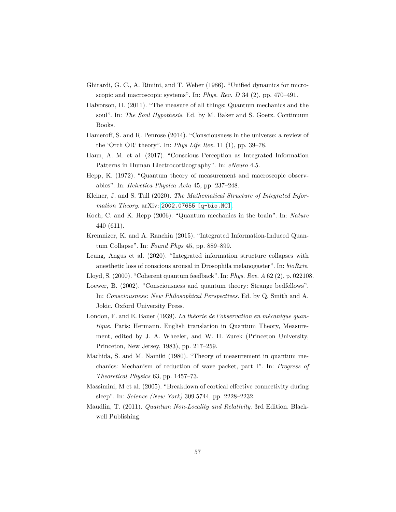- <span id="page-56-1"></span>Ghirardi, G. C., A. Rimini, and T. Weber (1986). "Unified dynamics for microscopic and macroscopic systems". In: *Phys. Rev. D* 34 (2), pp. 470–491.
- <span id="page-56-3"></span>Halvorson, H. (2011). "The measure of all things: Quantum mechanics and the soul". In: *The Soul Hypothesis*. Ed. by M. Baker and S. Goetz. Continuum Books.
- <span id="page-56-12"></span>Hameroff, S. and R. Penrose (2014). "Consciousness in the universe: a review of the 'Orch OR' theory". In: *Phys Life Rev.* 11 (1), pp. 39–78.
- <span id="page-56-9"></span>Haun, A. M. et al. (2017). "Conscious Perception as Integrated Information Patterns in Human Electrocorticography". In: *eNeuro* 4.5.
- <span id="page-56-4"></span>Hepp, K. (1972). "Quantum theory of measurement and macroscopic observables". In: *Helvetica Physica Acta* 45, pp. 237–248.
- <span id="page-56-11"></span>Kleiner, J. and S. Tull (2020). *The Mathematical Structure of Integrated Information Theory*. arXiv: [2002.07655 \[q-bio.NC\]](https://arxiv.org/abs/2002.07655).
- <span id="page-56-13"></span>Koch, C. and K. Hepp (2006). "Quantum mechanics in the brain". In: *Nature* 440 (611).
- <span id="page-56-10"></span>Kremnizer, K. and A. Ranchin (2015). "Integrated Information-Induced Quantum Collapse". In: *Found Phys* 45, pp. 889–899.
- <span id="page-56-8"></span>Leung, Angus et al. (2020). "Integrated information structure collapses with anesthetic loss of conscious arousal in Drosophila melanogaster". In: *bioRxiv*.
- <span id="page-56-14"></span>Lloyd, S. (2000). "Coherent quantum feedback". In: *Phys. Rev. A* 62 (2), p. 022108.
- <span id="page-56-6"></span>Loewer, B. (2002). "Consciousness and quantum theory: Strange bedfellows". In: *Consciousness: New Philosophical Perspectives*. Ed. by Q. Smith and A. Jokic. Oxford University Press.
- <span id="page-56-0"></span>London, F. and E. Bauer (1939). *La théorie de l'observation en mécanique quantique.* Paris: Hermann. English translation in Quantum Theory, Measurement, edited by J. A. Wheeler, and W. H. Zurek (Princeton University, Princeton, New Jersey, 1983), pp. 217–259.
- <span id="page-56-5"></span>Machida, S. and M. Namiki (1980). "Theory of measurement in quantum mechanics: Mechanism of reduction of wave packet, part I". In: *Progress of Theoretical Physics* 63, pp. 1457–73.
- <span id="page-56-7"></span>Massimini, M et al. (2005). "Breakdown of cortical effective connectivity during sleep". In: *Science (New York)* 309.5744, pp. 2228–2232.
- <span id="page-56-2"></span>Maudlin, T. (2011). *Quantum Non-Locality and Relativity*. 3rd Edition. Blackwell Publishing.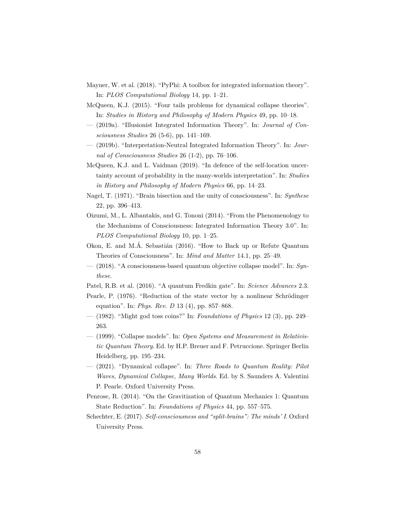- <span id="page-57-14"></span>Mayner, W. et al. (2018). "PyPhi: A toolbox for integrated information theory". In: *PLOS Computational Biology* 14, pp. 1–21.
- <span id="page-57-2"></span>McQueen, K.J. (2015). "Four tails problems for dynamical collapse theories". In: *Studies in History and Philosophy of Modern Physics* 49, pp. 10–18.
- <span id="page-57-15"></span>— (2019a). "Illusionist Integrated Information Theory". In: *Journal of Consciousness Studies* 26 (5-6), pp. 141–169.
- <span id="page-57-6"></span>— (2019b). "Interpretation-Neutral Integrated Information Theory". In: *Journal of Consciousness Studies* 26 (1-2), pp. 76–106.
- <span id="page-57-1"></span>McQueen, K.J. and L. Vaidman (2019). "In defence of the self-location uncertainty account of probability in the many-worlds interpretation". In: *Studies in History and Philosophy of Modern Physics* 66, pp. 14–23.
- <span id="page-57-12"></span>Nagel, T. (1971). "Brain bisection and the unity of consciousness". In: *Synthese* 22, pp. 396–413.
- <span id="page-57-5"></span>Oizumi, M., L. Albantakis, and G. Tononi (2014). "From the Phenomenology to the Mechanisms of Consciousness: Integrated Information Theory 3.0". In: *PLOS Computational Biology* 10, pp. 1–25.
- <span id="page-57-10"></span>Okon, E. and M.Á. Sebastián (2016). "How to Back up or Refute Quantum Theories of Consciousness". In: *Mind and Matter* 14.1, pp. 25–49.
- <span id="page-57-4"></span>— (2018). "A consciousness-based quantum objective collapse model". In: *Synthese*.
- <span id="page-57-11"></span>Patel, R.B. et al. (2016). "A quantum Fredkin gate". In: *Science Advances* 2.3.
- <span id="page-57-0"></span>Pearle, P. (1976). "Reduction of the state vector by a nonlinear Schrödinger equation". In: *Phys. Rev. D* 13 (4), pp. 857–868.
- <span id="page-57-9"></span>— (1982). "Might god toss coins?" In: *Foundations of Physics* 12 (3), pp. 249– 263.
- <span id="page-57-7"></span>— (1999). "Collapse models". In: *Open Systems and Measurement in Relativistic Quantum Theory*. Ed. by H.P. Breuer and F. Petruccione. Springer Berlin Heidelberg, pp. 195–234.
- <span id="page-57-8"></span>— (2021). "Dynamical collapse". In: *Three Roads to Quantum Reality: Pilot Waves, Dynamical Collapse, Many Worlds*. Ed. by S. Saunders A. Valentini P. Pearle. Oxford University Press.
- <span id="page-57-3"></span>Penrose, R. (2014). "On the Gravitization of Quantum Mechanics 1: Quantum State Reduction". In: *Foundations of Physics* 44, pp. 557–575.
- <span id="page-57-13"></span>Schechter, E. (2017). *Self-consciousness and "split-brains": The minds' I*. Oxford University Press.